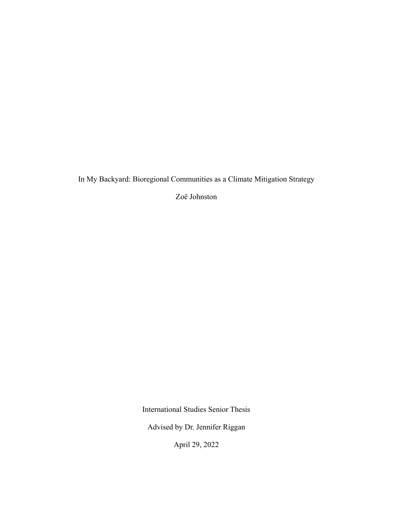In My Backyard: Bioregional Communities as a Climate Mitigation Strategy

Zoë Johnston

International Studies Senior Thesis

Advised by Dr. Jennifer Riggan

April 29, 2022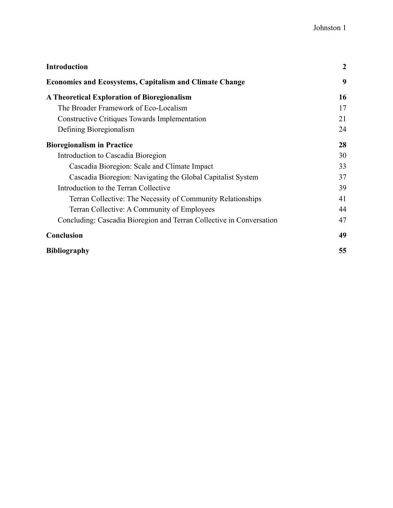| <b>Introduction</b>                                                  | $\boldsymbol{2}$ |
|----------------------------------------------------------------------|------------------|
| <b>Economies and Ecosystems, Capitalism and Climate Change</b>       | 9                |
| <b>A Theoretical Exploration of Bioregionalism</b>                   | 16               |
| The Broader Framework of Eco-Localism                                | 17               |
| <b>Constructive Critiques Towards Implementation</b>                 | 21               |
| Defining Bioregionalism                                              | 24               |
| <b>Bioregionalism in Practice</b>                                    | 28               |
| Introduction to Cascadia Bioregion                                   | 30               |
| Cascadia Bioregion: Scale and Climate Impact                         | 33               |
| Cascadia Bioregion: Navigating the Global Capitalist System          | 37               |
| Introduction to the Terran Collective                                | 39               |
| Terran Collective: The Necessity of Community Relationships          | 41               |
| Terran Collective: A Community of Employees                          | 44               |
| Concluding: Cascadia Bioregion and Terran Collective in Conversation | 47               |
| Conclusion                                                           | 49               |
| <b>Bibliography</b>                                                  | 55               |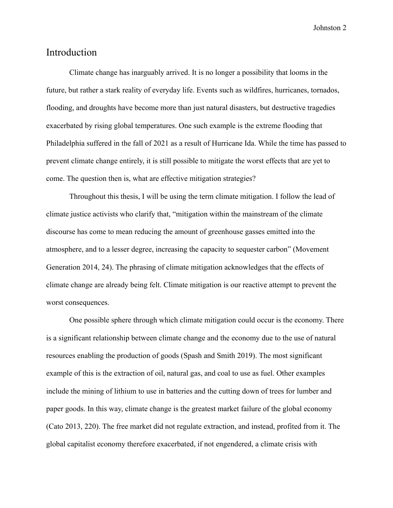## <span id="page-2-0"></span>Introduction

Climate change has inarguably arrived. It is no longer a possibility that looms in the future, but rather a stark reality of everyday life. Events such as wildfires, hurricanes, tornados, flooding, and droughts have become more than just natural disasters, but destructive tragedies exacerbated by rising global temperatures. One such example is the extreme flooding that Philadelphia suffered in the fall of 2021 as a result of Hurricane Ida. While the time has passed to prevent climate change entirely, it is still possible to mitigate the worst effects that are yet to come. The question then is, what are effective mitigation strategies?

Throughout this thesis, I will be using the term climate mitigation. I follow the lead of climate justice activists who clarify that, "mitigation within the mainstream of the climate discourse has come to mean reducing the amount of greenhouse gasses emitted into the atmosphere, and to a lesser degree, increasing the capacity to sequester carbon" (Movement Generation 2014, 24). The phrasing of climate mitigation acknowledges that the effects of climate change are already being felt. Climate mitigation is our reactive attempt to prevent the worst consequences.

One possible sphere through which climate mitigation could occur is the economy. There is a significant relationship between climate change and the economy due to the use of natural resources enabling the production of goods (Spash and Smith 2019). The most significant example of this is the extraction of oil, natural gas, and coal to use as fuel. Other examples include the mining of lithium to use in batteries and the cutting down of trees for lumber and paper goods. In this way, climate change is the greatest market failure of the global economy (Cato 2013, 220). The free market did not regulate extraction, and instead, profited from it. The global capitalist economy therefore exacerbated, if not engendered, a climate crisis with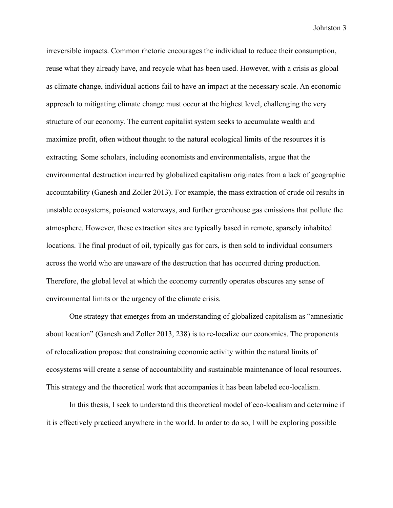irreversible impacts. Common rhetoric encourages the individual to reduce their consumption, reuse what they already have, and recycle what has been used. However, with a crisis as global as climate change, individual actions fail to have an impact at the necessary scale. An economic approach to mitigating climate change must occur at the highest level, challenging the very structure of our economy. The current capitalist system seeks to accumulate wealth and maximize profit, often without thought to the natural ecological limits of the resources it is extracting. Some scholars, including economists and environmentalists, argue that the environmental destruction incurred by globalized capitalism originates from a lack of geographic accountability (Ganesh and Zoller 2013). For example, the mass extraction of crude oil results in unstable ecosystems, poisoned waterways, and further greenhouse gas emissions that pollute the atmosphere. However, these extraction sites are typically based in remote, sparsely inhabited locations. The final product of oil, typically gas for cars, is then sold to individual consumers across the world who are unaware of the destruction that has occurred during production. Therefore, the global level at which the economy currently operates obscures any sense of environmental limits or the urgency of the climate crisis.

One strategy that emerges from an understanding of globalized capitalism as "amnesiatic about location" (Ganesh and Zoller 2013, 238) is to re-localize our economies. The proponents of relocalization propose that constraining economic activity within the natural limits of ecosystems will create a sense of accountability and sustainable maintenance of local resources. This strategy and the theoretical work that accompanies it has been labeled eco-localism.

In this thesis, I seek to understand this theoretical model of eco-localism and determine if it is effectively practiced anywhere in the world. In order to do so, I will be exploring possible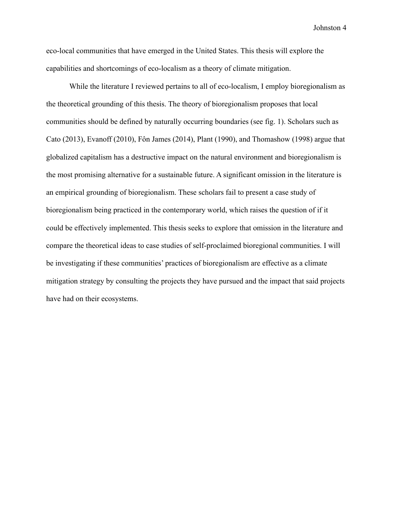eco-local communities that have emerged in the United States. This thesis will explore the capabilities and shortcomings of eco-localism as a theory of climate mitigation.

While the literature I reviewed pertains to all of eco-localism, I employ bioregionalism as the theoretical grounding of this thesis. The theory of bioregionalism proposes that local communities should be defined by naturally occurring boundaries (see fig. 1). Scholars such as Cato (2013), Evanoff (2010), Fôn James (2014), Plant (1990), and Thomashow (1998) argue that globalized capitalism has a destructive impact on the natural environment and bioregionalism is the most promising alternative for a sustainable future. A significant omission in the literature is an empirical grounding of bioregionalism. These scholars fail to present a case study of bioregionalism being practiced in the contemporary world, which raises the question of if it could be effectively implemented. This thesis seeks to explore that omission in the literature and compare the theoretical ideas to case studies of self-proclaimed bioregional communities. I will be investigating if these communities' practices of bioregionalism are effective as a climate mitigation strategy by consulting the projects they have pursued and the impact that said projects have had on their ecosystems.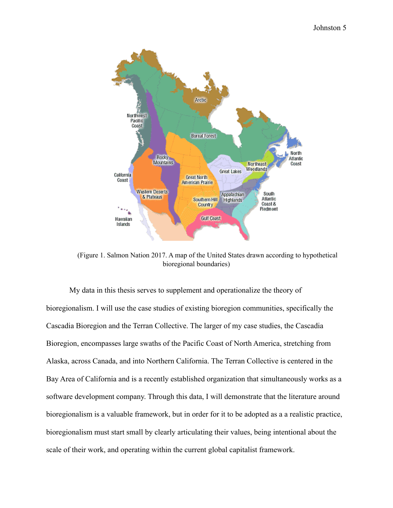

(Figure 1. Salmon Nation 2017. A map of the United States drawn according to hypothetical bioregional boundaries)

My data in this thesis serves to supplement and operationalize the theory of bioregionalism. I will use the case studies of existing bioregion communities, specifically the Cascadia Bioregion and the Terran Collective. The larger of my case studies, the Cascadia Bioregion, encompasses large swaths of the Pacific Coast of North America, stretching from Alaska, across Canada, and into Northern California. The Terran Collective is centered in the Bay Area of California and is a recently established organization that simultaneously works as a software development company. Through this data, I will demonstrate that the literature around bioregionalism is a valuable framework, but in order for it to be adopted as a a realistic practice, bioregionalism must start small by clearly articulating their values, being intentional about the scale of their work, and operating within the current global capitalist framework.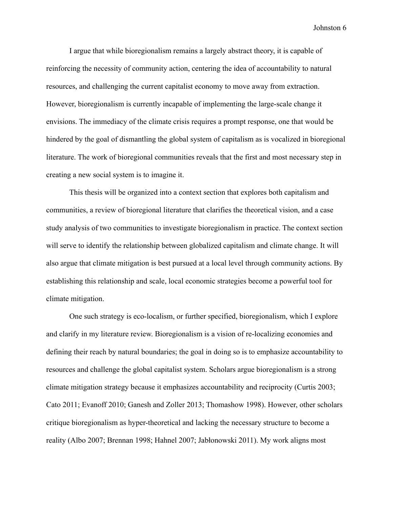I argue that while bioregionalism remains a largely abstract theory, it is capable of reinforcing the necessity of community action, centering the idea of accountability to natural resources, and challenging the current capitalist economy to move away from extraction. However, bioregionalism is currently incapable of implementing the large-scale change it envisions. The immediacy of the climate crisis requires a prompt response, one that would be hindered by the goal of dismantling the global system of capitalism as is vocalized in bioregional literature. The work of bioregional communities reveals that the first and most necessary step in creating a new social system is to imagine it.

This thesis will be organized into a context section that explores both capitalism and communities, a review of bioregional literature that clarifies the theoretical vision, and a case study analysis of two communities to investigate bioregionalism in practice. The context section will serve to identify the relationship between globalized capitalism and climate change. It will also argue that climate mitigation is best pursued at a local level through community actions. By establishing this relationship and scale, local economic strategies become a powerful tool for climate mitigation.

One such strategy is eco-localism, or further specified, bioregionalism, which I explore and clarify in my literature review. Bioregionalism is a vision of re-localizing economies and defining their reach by natural boundaries; the goal in doing so is to emphasize accountability to resources and challenge the global capitalist system. Scholars argue bioregionalism is a strong climate mitigation strategy because it emphasizes accountability and reciprocity (Curtis 2003; Cato 2011; Evanoff 2010; Ganesh and Zoller 2013; Thomashow 1998). However, other scholars critique bioregionalism as hyper-theoretical and lacking the necessary structure to become a reality (Albo 2007; Brennan 1998; Hahnel 2007; Jabłonowski 2011). My work aligns most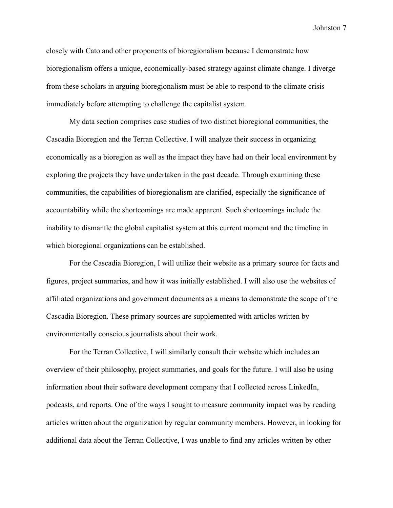closely with Cato and other proponents of bioregionalism because I demonstrate how bioregionalism offers a unique, economically-based strategy against climate change. I diverge from these scholars in arguing bioregionalism must be able to respond to the climate crisis immediately before attempting to challenge the capitalist system.

My data section comprises case studies of two distinct bioregional communities, the Cascadia Bioregion and the Terran Collective. I will analyze their success in organizing economically as a bioregion as well as the impact they have had on their local environment by exploring the projects they have undertaken in the past decade. Through examining these communities, the capabilities of bioregionalism are clarified, especially the significance of accountability while the shortcomings are made apparent. Such shortcomings include the inability to dismantle the global capitalist system at this current moment and the timeline in which bioregional organizations can be established.

For the Cascadia Bioregion, I will utilize their website as a primary source for facts and figures, project summaries, and how it was initially established. I will also use the websites of affiliated organizations and government documents as a means to demonstrate the scope of the Cascadia Bioregion. These primary sources are supplemented with articles written by environmentally conscious journalists about their work.

For the Terran Collective, I will similarly consult their website which includes an overview of their philosophy, project summaries, and goals for the future. I will also be using information about their software development company that I collected across LinkedIn, podcasts, and reports. One of the ways I sought to measure community impact was by reading articles written about the organization by regular community members. However, in looking for additional data about the Terran Collective, I was unable to find any articles written by other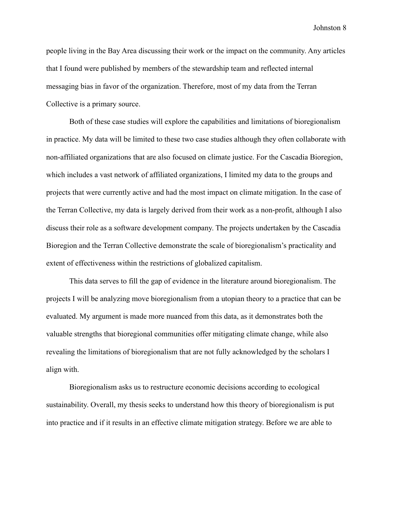people living in the Bay Area discussing their work or the impact on the community. Any articles that I found were published by members of the stewardship team and reflected internal messaging bias in favor of the organization. Therefore, most of my data from the Terran Collective is a primary source.

Both of these case studies will explore the capabilities and limitations of bioregionalism in practice. My data will be limited to these two case studies although they often collaborate with non-affiliated organizations that are also focused on climate justice. For the Cascadia Bioregion, which includes a vast network of affiliated organizations, I limited my data to the groups and projects that were currently active and had the most impact on climate mitigation. In the case of the Terran Collective, my data is largely derived from their work as a non-profit, although I also discuss their role as a software development company. The projects undertaken by the Cascadia Bioregion and the Terran Collective demonstrate the scale of bioregionalism's practicality and extent of effectiveness within the restrictions of globalized capitalism.

This data serves to fill the gap of evidence in the literature around bioregionalism. The projects I will be analyzing move bioregionalism from a utopian theory to a practice that can be evaluated. My argument is made more nuanced from this data, as it demonstrates both the valuable strengths that bioregional communities offer mitigating climate change, while also revealing the limitations of bioregionalism that are not fully acknowledged by the scholars I align with.

Bioregionalism asks us to restructure economic decisions according to ecological sustainability. Overall, my thesis seeks to understand how this theory of bioregionalism is put into practice and if it results in an effective climate mitigation strategy. Before we are able to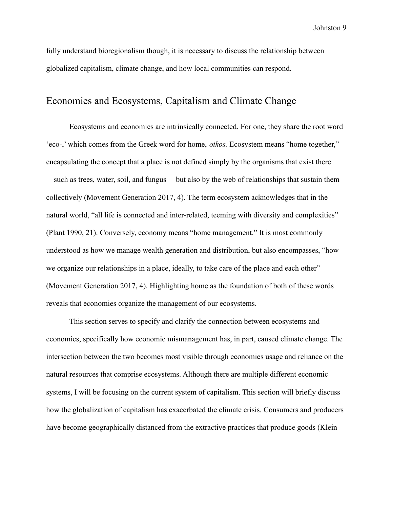fully understand bioregionalism though, it is necessary to discuss the relationship between globalized capitalism, climate change, and how local communities can respond.

# <span id="page-9-0"></span>Economies and Ecosystems, Capitalism and Climate Change

Ecosystems and economies are intrinsically connected. For one, they share the root word 'eco-,' which comes from the Greek word for home, *oikos.* Ecosystem means "home together," encapsulating the concept that a place is not defined simply by the organisms that exist there —such as trees, water, soil, and fungus —but also by the web of relationships that sustain them collectively (Movement Generation 2017, 4). The term ecosystem acknowledges that in the natural world, "all life is connected and inter-related, teeming with diversity and complexities" (Plant 1990, 21). Conversely, economy means "home management." It is most commonly understood as how we manage wealth generation and distribution, but also encompasses, "how we organize our relationships in a place, ideally, to take care of the place and each other" (Movement Generation 2017, 4). Highlighting home as the foundation of both of these words reveals that economies organize the management of our ecosystems.

This section serves to specify and clarify the connection between ecosystems and economies, specifically how economic mismanagement has, in part, caused climate change. The intersection between the two becomes most visible through economies usage and reliance on the natural resources that comprise ecosystems. Although there are multiple different economic systems, I will be focusing on the current system of capitalism. This section will briefly discuss how the globalization of capitalism has exacerbated the climate crisis. Consumers and producers have become geographically distanced from the extractive practices that produce goods (Klein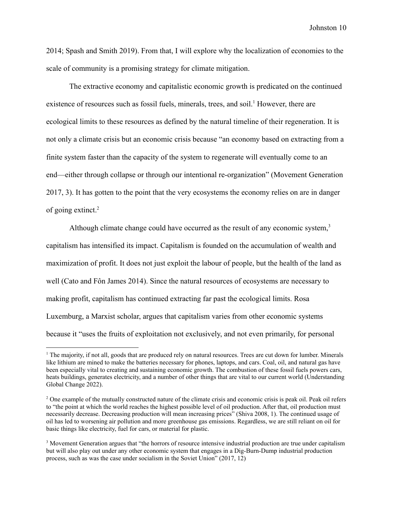2014; Spash and Smith 2019). From that, I will explore why the localization of economies to the scale of community is a promising strategy for climate mitigation.

The extractive economy and capitalistic economic growth is predicated on the continued existence of resources such as fossil fuels, minerals, trees, and soil.<sup>1</sup> However, there are ecological limits to these resources as defined by the natural timeline of their regeneration. It is not only a climate crisis but an economic crisis because "an economy based on extracting from a finite system faster than the capacity of the system to regenerate will eventually come to an end—either through collapse or through our intentional re-organization" (Movement Generation 2017, 3). It has gotten to the point that the very ecosystems the economy relies on are in danger of going extinct.<sup>2</sup>

Although climate change could have occurred as the result of any economic system, $3$ capitalism has intensified its impact. Capitalism is founded on the accumulation of wealth and maximization of profit. It does not just exploit the labour of people, but the health of the land as well (Cato and Fôn James 2014). Since the natural resources of ecosystems are necessary to making profit, capitalism has continued extracting far past the ecological limits. Rosa Luxemburg, a Marxist scholar, argues that capitalism varies from other economic systems because it "uses the fruits of exploitation not exclusively, and not even primarily, for personal

 $<sup>1</sup>$  The majority, if not all, goods that are produced rely on natural resources. Trees are cut down for lumber. Minerals</sup> like lithium are mined to make the batteries necessary for phones, laptops, and cars. Coal, oil, and natural gas have been especially vital to creating and sustaining economic growth. The combustion of these fossil fuels powers cars, heats buildings, generates electricity, and a number of other things that are vital to our current world (Understanding Global Change 2022).

<sup>&</sup>lt;sup>2</sup> One example of the mutually constructed nature of the climate crisis and economic crisis is peak oil. Peak oil refers to "the point at which the world reaches the highest possible level of oil production. After that, oil production must necessarily decrease. Decreasing production will mean increasing prices" (Shiva 2008, 1). The continued usage of oil has led to worsening air pollution and more greenhouse gas emissions. Regardless, we are still reliant on oil for basic things like electricity, fuel for cars, or material for plastic.

<sup>&</sup>lt;sup>3</sup> Movement Generation argues that "the horrors of resource intensive industrial production are true under capitalism but will also play out under any other economic system that engages in a Dig-Burn-Dump industrial production process, such as was the case under socialism in the Soviet Union" (2017, 12)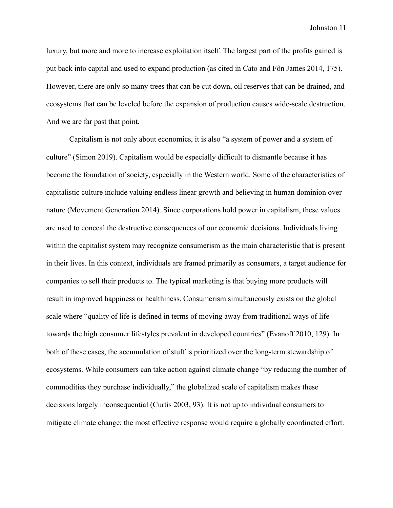luxury, but more and more to increase exploitation itself. The largest part of the profits gained is put back into capital and used to expand production (as cited in Cato and Fôn James 2014, 175). However, there are only so many trees that can be cut down, oil reserves that can be drained, and ecosystems that can be leveled before the expansion of production causes wide-scale destruction. And we are far past that point.

Capitalism is not only about economics, it is also "a system of power and a system of culture" (Simon 2019). Capitalism would be especially difficult to dismantle because it has become the foundation of society, especially in the Western world. Some of the characteristics of capitalistic culture include valuing endless linear growth and believing in human dominion over nature (Movement Generation 2014). Since corporations hold power in capitalism, these values are used to conceal the destructive consequences of our economic decisions. Individuals living within the capitalist system may recognize consumerism as the main characteristic that is present in their lives. In this context, individuals are framed primarily as consumers, a target audience for companies to sell their products to. The typical marketing is that buying more products will result in improved happiness or healthiness. Consumerism simultaneously exists on the global scale where "quality of life is defined in terms of moving away from traditional ways of life towards the high consumer lifestyles prevalent in developed countries" (Evanoff 2010, 129). In both of these cases, the accumulation of stuff is prioritized over the long-term stewardship of ecosystems. While consumers can take action against climate change "by reducing the number of commodities they purchase individually," the globalized scale of capitalism makes these decisions largely inconsequential (Curtis 2003, 93). It is not up to individual consumers to mitigate climate change; the most effective response would require a globally coordinated effort.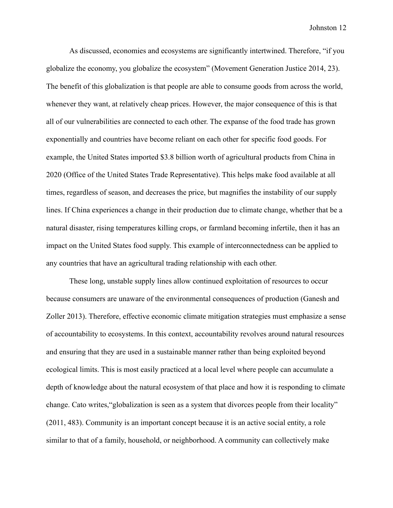As discussed, economies and ecosystems are significantly intertwined. Therefore, "if you globalize the economy, you globalize the ecosystem" (Movement Generation Justice 2014, 23). The benefit of this globalization is that people are able to consume goods from across the world, whenever they want, at relatively cheap prices. However, the major consequence of this is that all of our vulnerabilities are connected to each other. The expanse of the food trade has grown exponentially and countries have become reliant on each other for specific food goods. For example, the United States imported \$3.8 billion worth of agricultural products from China in 2020 (Office of the United States Trade Representative). This helps make food available at all times, regardless of season, and decreases the price, but magnifies the instability of our supply lines. If China experiences a change in their production due to climate change, whether that be a natural disaster, rising temperatures killing crops, or farmland becoming infertile, then it has an impact on the United States food supply. This example of interconnectedness can be applied to any countries that have an agricultural trading relationship with each other.

These long, unstable supply lines allow continued exploitation of resources to occur because consumers are unaware of the environmental consequences of production (Ganesh and Zoller 2013). Therefore, effective economic climate mitigation strategies must emphasize a sense of accountability to ecosystems. In this context, accountability revolves around natural resources and ensuring that they are used in a sustainable manner rather than being exploited beyond ecological limits. This is most easily practiced at a local level where people can accumulate a depth of knowledge about the natural ecosystem of that place and how it is responding to climate change. Cato writes,"globalization is seen as a system that divorces people from their locality" (2011, 483). Community is an important concept because it is an active social entity, a role similar to that of a family, household, or neighborhood. A community can collectively make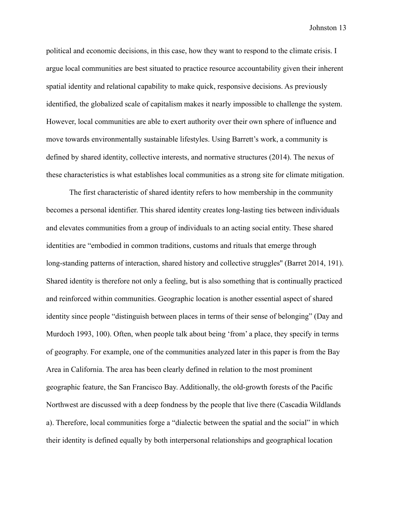political and economic decisions, in this case, how they want to respond to the climate crisis. I argue local communities are best situated to practice resource accountability given their inherent spatial identity and relational capability to make quick, responsive decisions. As previously identified, the globalized scale of capitalism makes it nearly impossible to challenge the system. However, local communities are able to exert authority over their own sphere of influence and move towards environmentally sustainable lifestyles. Using Barrett's work, a community is defined by shared identity, collective interests, and normative structures (2014). The nexus of these characteristics is what establishes local communities as a strong site for climate mitigation.

The first characteristic of shared identity refers to how membership in the community becomes a personal identifier. This shared identity creates long-lasting ties between individuals and elevates communities from a group of individuals to an acting social entity. These shared identities are "embodied in common traditions, customs and rituals that emerge through long-standing patterns of interaction, shared history and collective struggles" (Barret 2014, 191). Shared identity is therefore not only a feeling, but is also something that is continually practiced and reinforced within communities. Geographic location is another essential aspect of shared identity since people "distinguish between places in terms of their sense of belonging" (Day and Murdoch 1993, 100). Often, when people talk about being 'from' a place, they specify in terms of geography. For example, one of the communities analyzed later in this paper is from the Bay Area in California. The area has been clearly defined in relation to the most prominent geographic feature, the San Francisco Bay. Additionally, the old-growth forests of the Pacific Northwest are discussed with a deep fondness by the people that live there (Cascadia Wildlands a). Therefore, local communities forge a "dialectic between the spatial and the social" in which their identity is defined equally by both interpersonal relationships and geographical location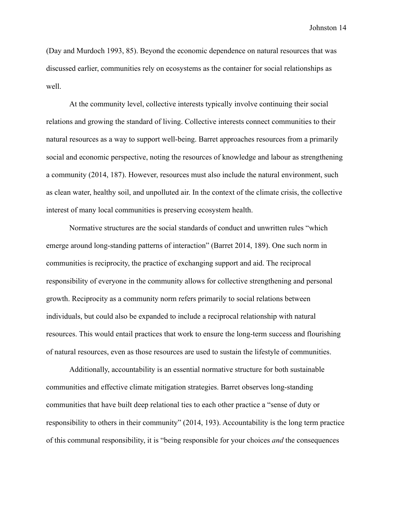(Day and Murdoch 1993, 85). Beyond the economic dependence on natural resources that was discussed earlier, communities rely on ecosystems as the container for social relationships as well.

At the community level, collective interests typically involve continuing their social relations and growing the standard of living. Collective interests connect communities to their natural resources as a way to support well-being. Barret approaches resources from a primarily social and economic perspective, noting the resources of knowledge and labour as strengthening a community (2014, 187). However, resources must also include the natural environment, such as clean water, healthy soil, and unpolluted air. In the context of the climate crisis, the collective interest of many local communities is preserving ecosystem health.

Normative structures are the social standards of conduct and unwritten rules "which emerge around long-standing patterns of interaction" (Barret 2014, 189). One such norm in communities is reciprocity, the practice of exchanging support and aid. The reciprocal responsibility of everyone in the community allows for collective strengthening and personal growth. Reciprocity as a community norm refers primarily to social relations between individuals, but could also be expanded to include a reciprocal relationship with natural resources. This would entail practices that work to ensure the long-term success and flourishing of natural resources, even as those resources are used to sustain the lifestyle of communities.

Additionally, accountability is an essential normative structure for both sustainable communities and effective climate mitigation strategies. Barret observes long-standing communities that have built deep relational ties to each other practice a "sense of duty or responsibility to others in their community" (2014, 193). Accountability is the long term practice of this communal responsibility, it is "being responsible for your choices *and* the consequences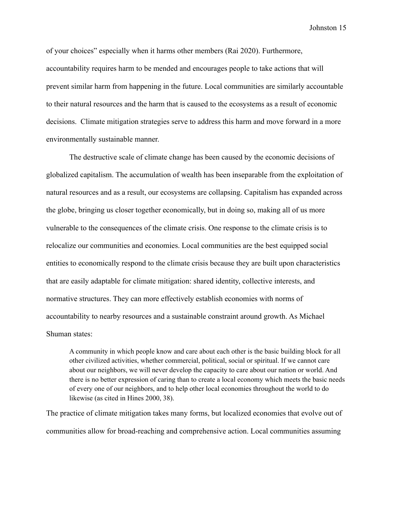of your choices" especially when it harms other members (Rai 2020). Furthermore, accountability requires harm to be mended and encourages people to take actions that will prevent similar harm from happening in the future. Local communities are similarly accountable to their natural resources and the harm that is caused to the ecosystems as a result of economic decisions. Climate mitigation strategies serve to address this harm and move forward in a more environmentally sustainable manner.

The destructive scale of climate change has been caused by the economic decisions of globalized capitalism. The accumulation of wealth has been inseparable from the exploitation of natural resources and as a result, our ecosystems are collapsing. Capitalism has expanded across the globe, bringing us closer together economically, but in doing so, making all of us more vulnerable to the consequences of the climate crisis. One response to the climate crisis is to relocalize our communities and economies. Local communities are the best equipped social entities to economically respond to the climate crisis because they are built upon characteristics that are easily adaptable for climate mitigation: shared identity, collective interests, and normative structures. They can more effectively establish economies with norms of accountability to nearby resources and a sustainable constraint around growth. As Michael Shuman states:

A community in which people know and care about each other is the basic building block for all other civilized activities, whether commercial, political, social or spiritual. If we cannot care about our neighbors, we will never develop the capacity to care about our nation or world. And there is no better expression of caring than to create a local economy which meets the basic needs of every one of our neighbors, and to help other local economies throughout the world to do likewise (as cited in Hines 2000, 38).

The practice of climate mitigation takes many forms, but localized economies that evolve out of communities allow for broad-reaching and comprehensive action. Local communities assuming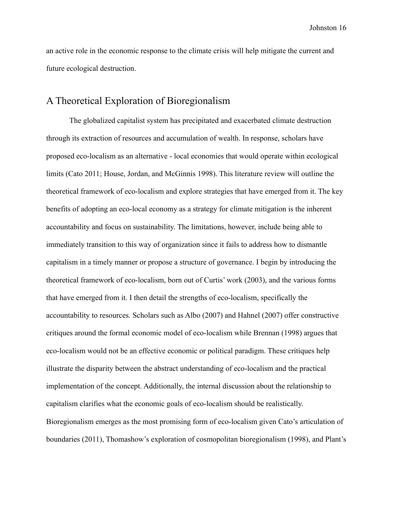an active role in the economic response to the climate crisis will help mitigate the current and future ecological destruction.

# <span id="page-16-0"></span>A Theoretical Exploration of Bioregionalism

The globalized capitalist system has precipitated and exacerbated climate destruction through its extraction of resources and accumulation of wealth. In response, scholars have proposed eco-localism as an alternative - local economies that would operate within ecological limits (Cato 2011; House, Jordan, and McGinnis 1998). This literature review will outline the theoretical framework of eco-localism and explore strategies that have emerged from it. The key benefits of adopting an eco-local economy as a strategy for climate mitigation is the inherent accountability and focus on sustainability. The limitations, however, include being able to immediately transition to this way of organization since it fails to address how to dismantle capitalism in a timely manner or propose a structure of governance. I begin by introducing the theoretical framework of eco-localism, born out of Curtis' work (2003), and the various forms that have emerged from it. I then detail the strengths of eco-localism, specifically the accountability to resources. Scholars such as Albo (2007) and Hahnel (2007) offer constructive critiques around the formal economic model of eco-localism while Brennan (1998) argues that eco-localism would not be an effective economic or political paradigm. These critiques help illustrate the disparity between the abstract understanding of eco-localism and the practical implementation of the concept. Additionally, the internal discussion about the relationship to capitalism clarifies what the economic goals of eco-localism should be realistically. Bioregionalism emerges as the most promising form of eco-localism given Cato's articulation of boundaries (2011), Thomashow's exploration of cosmopolitan bioregionalism (1998), and Plant's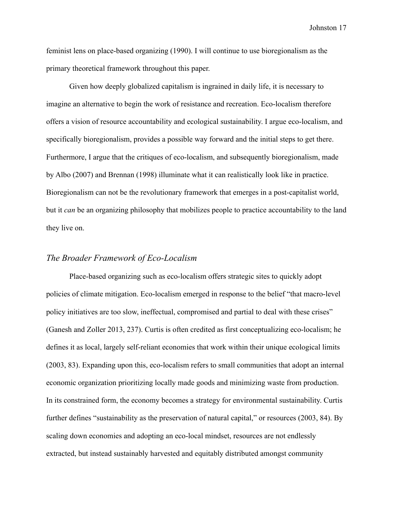feminist lens on place-based organizing (1990). I will continue to use bioregionalism as the primary theoretical framework throughout this paper.

Given how deeply globalized capitalism is ingrained in daily life, it is necessary to imagine an alternative to begin the work of resistance and recreation. Eco-localism therefore offers a vision of resource accountability and ecological sustainability. I argue eco-localism, and specifically bioregionalism, provides a possible way forward and the initial steps to get there. Furthermore, I argue that the critiques of eco-localism, and subsequently bioregionalism, made by Albo (2007) and Brennan (1998) illuminate what it can realistically look like in practice. Bioregionalism can not be the revolutionary framework that emerges in a post-capitalist world, but it *can* be an organizing philosophy that mobilizes people to practice accountability to the land they live on.

### <span id="page-17-0"></span>*The Broader Framework of Eco-Localism*

Place-based organizing such as eco-localism offers strategic sites to quickly adopt policies of climate mitigation. Eco-localism emerged in response to the belief "that macro-level policy initiatives are too slow, ineffectual, compromised and partial to deal with these crises" (Ganesh and Zoller 2013, 237). Curtis is often credited as first conceptualizing eco-localism; he defines it as local, largely self-reliant economies that work within their unique ecological limits (2003, 83). Expanding upon this, eco-localism refers to small communities that adopt an internal economic organization prioritizing locally made goods and minimizing waste from production. In its constrained form, the economy becomes a strategy for environmental sustainability. Curtis further defines "sustainability as the preservation of natural capital," or resources (2003, 84). By scaling down economies and adopting an eco-local mindset, resources are not endlessly extracted, but instead sustainably harvested and equitably distributed amongst community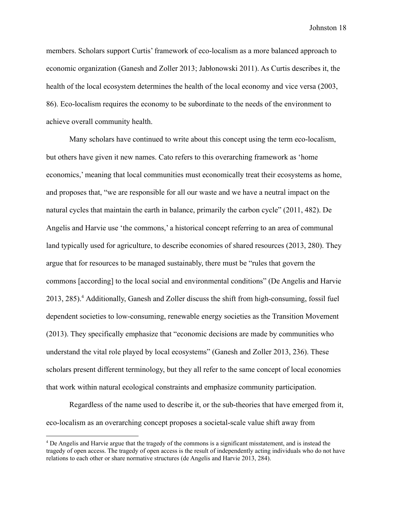members. Scholars support Curtis' framework of eco-localism as a more balanced approach to economic organization (Ganesh and Zoller 2013; Jabłonowski 2011). As Curtis describes it, the health of the local ecosystem determines the health of the local economy and vice versa (2003, 86). Eco-localism requires the economy to be subordinate to the needs of the environment to achieve overall community health.

Many scholars have continued to write about this concept using the term eco-localism, but others have given it new names. Cato refers to this overarching framework as 'home economics,' meaning that local communities must economically treat their ecosystems as home, and proposes that, "we are responsible for all our waste and we have a neutral impact on the natural cycles that maintain the earth in balance, primarily the carbon cycle" (2011, 482). De Angelis and Harvie use 'the commons,' a historical concept referring to an area of communal land typically used for agriculture, to describe economies of shared resources (2013, 280). They argue that for resources to be managed sustainably, there must be "rules that govern the commons [according] to the local social and environmental conditions" (De Angelis and Harvie 2013, 285).<sup>4</sup> Additionally, Ganesh and Zoller discuss the shift from high-consuming, fossil fuel dependent societies to low-consuming, renewable energy societies as the Transition Movement (2013). They specifically emphasize that "economic decisions are made by communities who understand the vital role played by local ecosystems" (Ganesh and Zoller 2013, 236). These scholars present different terminology, but they all refer to the same concept of local economies that work within natural ecological constraints and emphasize community participation.

Regardless of the name used to describe it, or the sub-theories that have emerged from it, eco-localism as an overarching concept proposes a societal-scale value shift away from

<sup>4</sup> De Angelis and Harvie argue that the tragedy of the commons is a significant misstatement, and is instead the tragedy of open access. The tragedy of open access is the result of independently acting individuals who do not have relations to each other or share normative structures (de Angelis and Harvie 2013, 284).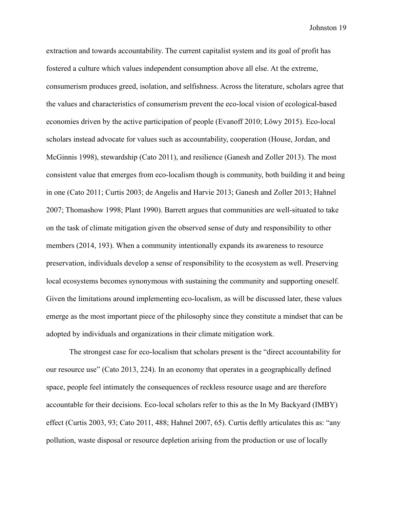extraction and towards accountability. The current capitalist system and its goal of profit has fostered a culture which values independent consumption above all else. At the extreme, consumerism produces greed, isolation, and selfishness. Across the literature, scholars agree that the values and characteristics of consumerism prevent the eco-local vision of ecological-based economies driven by the active participation of people (Evanoff 2010; Löwy 2015). Eco-local scholars instead advocate for values such as accountability, cooperation (House, Jordan, and McGinnis 1998), stewardship (Cato 2011), and resilience (Ganesh and Zoller 2013). The most consistent value that emerges from eco-localism though is community, both building it and being in one (Cato 2011; Curtis 2003; de Angelis and Harvie 2013; Ganesh and Zoller 2013; Hahnel 2007; Thomashow 1998; Plant 1990). Barrett argues that communities are well-situated to take on the task of climate mitigation given the observed sense of duty and responsibility to other members (2014, 193). When a community intentionally expands its awareness to resource preservation, individuals develop a sense of responsibility to the ecosystem as well. Preserving local ecosystems becomes synonymous with sustaining the community and supporting oneself. Given the limitations around implementing eco-localism, as will be discussed later, these values emerge as the most important piece of the philosophy since they constitute a mindset that can be adopted by individuals and organizations in their climate mitigation work.

The strongest case for eco-localism that scholars present is the "direct accountability for our resource use" (Cato 2013, 224). In an economy that operates in a geographically defined space, people feel intimately the consequences of reckless resource usage and are therefore accountable for their decisions. Eco-local scholars refer to this as the In My Backyard (IMBY) effect (Curtis 2003, 93; Cato 2011, 488; Hahnel 2007, 65). Curtis deftly articulates this as: "any pollution, waste disposal or resource depletion arising from the production or use of locally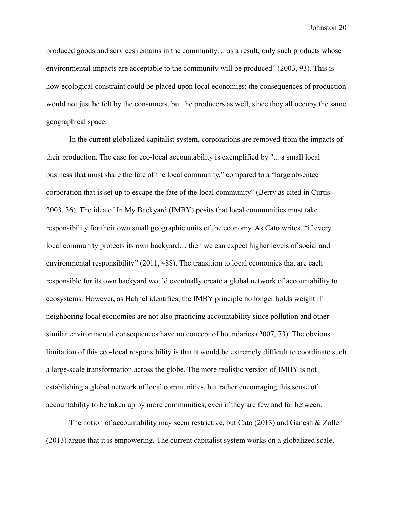produced goods and services remains in the community… as a result, only such products whose environmental impacts are acceptable to the community will be produced" (2003, 93). This is how ecological constraint could be placed upon local economies; the consequences of production would not just be felt by the consumers, but the producers as well, since they all occupy the same geographical space.

In the current globalized capitalist system, corporations are removed from the impacts of their production. The case for eco-local accountability is exemplified by "... a small local business that must share the fate of the local community," compared to a "large absentee corporation that is set up to escape the fate of the local community" (Berry as cited in Curtis 2003, 36). The idea of In My Backyard (IMBY) posits that local communities must take responsibility for their own small geographic units of the economy. As Cato writes, "if every local community protects its own backyard… then we can expect higher levels of social and environmental responsibility" (2011, 488). The transition to local economies that are each responsible for its own backyard would eventually create a global network of accountability to ecosystems. However, as Hahnel identifies, the IMBY principle no longer holds weight if neighboring local economies are not also practicing accountability since pollution and other similar environmental consequences have no concept of boundaries (2007, 73). The obvious limitation of this eco-local responsibility is that it would be extremely difficult to coordinate such a large-scale transformation across the globe. The more realistic version of IMBY is not establishing a global network of local communities, but rather encouraging this sense of accountability to be taken up by more communities, even if they are few and far between.

The notion of accountability may seem restrictive, but Cato (2013) and Ganesh & Zoller (2013) argue that it is empowering. The current capitalist system works on a globalized scale,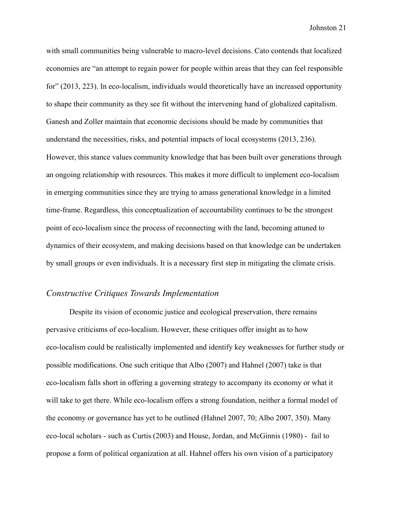with small communities being vulnerable to macro-level decisions. Cato contends that localized economies are "an attempt to regain power for people within areas that they can feel responsible for" (2013, 223). In eco-localism, individuals would theoretically have an increased opportunity to shape their community as they see fit without the intervening hand of globalized capitalism. Ganesh and Zoller maintain that economic decisions should be made by communities that understand the necessities, risks, and potential impacts of local ecosystems (2013, 236). However, this stance values community knowledge that has been built over generations through an ongoing relationship with resources. This makes it more difficult to implement eco-localism in emerging communities since they are trying to amass generational knowledge in a limited time-frame. Regardless, this conceptualization of accountability continues to be the strongest point of eco-localism since the process of reconnecting with the land, becoming attuned to dynamics of their ecosystem, and making decisions based on that knowledge can be undertaken by small groups or even individuals. It is a necessary first step in mitigating the climate crisis.

## <span id="page-21-0"></span>*Constructive Critiques Towards Implementation*

Despite its vision of economic justice and ecological preservation, there remains pervasive criticisms of eco-localism. However, these critiques offer insight as to how eco-localism could be realistically implemented and identify key weaknesses for further study or possible modifications. One such critique that Albo (2007) and Hahnel (2007) take is that eco-localism falls short in offering a governing strategy to accompany its economy or what it will take to get there. While eco-localism offers a strong foundation, neither a formal model of the economy or governance has yet to be outlined (Hahnel 2007, 70; Albo 2007, 350). Many eco-local scholars - such as Curtis (2003) and House, Jordan, and McGinnis (1980) - fail to propose a form of political organization at all. Hahnel offers his own vision of a participatory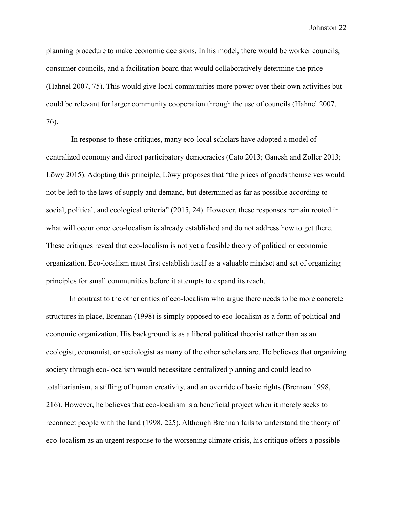planning procedure to make economic decisions. In his model, there would be worker councils, consumer councils, and a facilitation board that would collaboratively determine the price (Hahnel 2007, 75). This would give local communities more power over their own activities but could be relevant for larger community cooperation through the use of councils (Hahnel 2007, 76).

In response to these critiques, many eco-local scholars have adopted a model of centralized economy and direct participatory democracies (Cato 2013; Ganesh and Zoller 2013; Löwy 2015). Adopting this principle, Löwy proposes that "the prices of goods themselves would not be left to the laws of supply and demand, but determined as far as possible according to social, political, and ecological criteria" (2015, 24). However, these responses remain rooted in what will occur once eco-localism is already established and do not address how to get there. These critiques reveal that eco-localism is not yet a feasible theory of political or economic organization. Eco-localism must first establish itself as a valuable mindset and set of organizing principles for small communities before it attempts to expand its reach.

In contrast to the other critics of eco-localism who argue there needs to be more concrete structures in place, Brennan (1998) is simply opposed to eco-localism as a form of political and economic organization. His background is as a liberal political theorist rather than as an ecologist, economist, or sociologist as many of the other scholars are. He believes that organizing society through eco-localism would necessitate centralized planning and could lead to totalitarianism, a stifling of human creativity, and an override of basic rights (Brennan 1998, 216). However, he believes that eco-localism is a beneficial project when it merely seeks to reconnect people with the land (1998, 225). Although Brennan fails to understand the theory of eco-localism as an urgent response to the worsening climate crisis, his critique offers a possible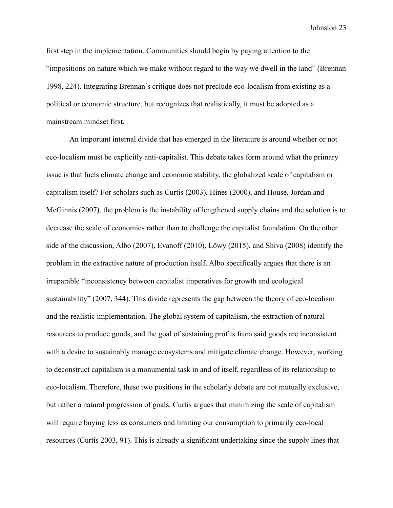first step in the implementation. Communities should begin by paying attention to the "impositions on nature which we make without regard to the way we dwell in the land" (Brennan 1998, 224). Integrating Brennan's critique does not preclude eco-localism from existing as a political or economic structure, but recognizes that realistically, it must be adopted as a mainstream mindset first.

An important internal divide that has emerged in the literature is around whether or not eco-localism must be explicitly anti-capitalist. This debate takes form around what the primary issue is that fuels climate change and economic stability, the globalized scale of capitalism or capitalism itself? For scholars such as Curtis (2003), Hines (2000), and House, Jordan and McGinnis (2007), the problem is the instability of lengthened supply chains and the solution is to decrease the scale of economies rather than to challenge the capitalist foundation. On the other side of the discussion, Albo (2007), Evanoff (2010), Löwy (2015), and Shiva (2008) identify the problem in the extractive nature of production itself. Albo specifically argues that there is an irreparable "inconsistency between capitalist imperatives for growth and ecological sustainability" (2007, 344). This divide represents the gap between the theory of eco-localism and the realistic implementation. The global system of capitalism, the extraction of natural resources to produce goods, and the goal of sustaining profits from said goods are inconsistent with a desire to sustainably manage ecosystems and mitigate climate change. However, working to deconstruct capitalism is a monumental task in and of itself, regardless of its relationship to eco-localism. Therefore, these two positions in the scholarly debate are not mutually exclusive, but rather a natural progression of goals. Curtis argues that minimizing the scale of capitalism will require buying less as consumers and limiting our consumption to primarily eco-local resources (Curtis 2003, 91). This is already a significant undertaking since the supply lines that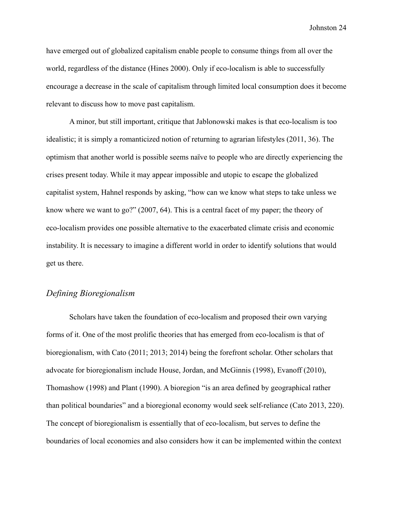have emerged out of globalized capitalism enable people to consume things from all over the world, regardless of the distance (Hines 2000). Only if eco-localism is able to successfully encourage a decrease in the scale of capitalism through limited local consumption does it become relevant to discuss how to move past capitalism.

A minor, but still important, critique that Jablonowski makes is that eco-localism is too idealistic; it is simply a romanticized notion of returning to agrarian lifestyles (2011, 36). The optimism that another world is possible seems naïve to people who are directly experiencing the crises present today. While it may appear impossible and utopic to escape the globalized capitalist system, Hahnel responds by asking, "how can we know what steps to take unless we know where we want to go?" (2007, 64). This is a central facet of my paper; the theory of eco-localism provides one possible alternative to the exacerbated climate crisis and economic instability. It is necessary to imagine a different world in order to identify solutions that would get us there.

## <span id="page-24-0"></span>*Defining Bioregionalism*

Scholars have taken the foundation of eco-localism and proposed their own varying forms of it. One of the most prolific theories that has emerged from eco-localism is that of bioregionalism, with Cato (2011; 2013; 2014) being the forefront scholar. Other scholars that advocate for bioregionalism include House, Jordan, and McGinnis (1998), Evanoff (2010), Thomashow (1998) and Plant (1990). A bioregion "is an area defined by geographical rather than political boundaries" and a bioregional economy would seek self-reliance (Cato 2013, 220). The concept of bioregionalism is essentially that of eco-localism, but serves to define the boundaries of local economies and also considers how it can be implemented within the context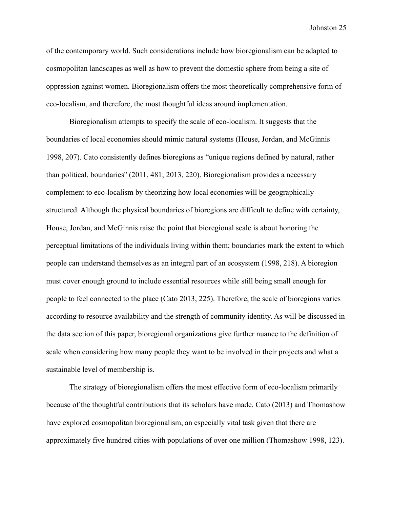of the contemporary world. Such considerations include how bioregionalism can be adapted to cosmopolitan landscapes as well as how to prevent the domestic sphere from being a site of oppression against women. Bioregionalism offers the most theoretically comprehensive form of eco-localism, and therefore, the most thoughtful ideas around implementation.

Bioregionalism attempts to specify the scale of eco-localism. It suggests that the boundaries of local economies should mimic natural systems (House, Jordan, and McGinnis 1998, 207). Cato consistently defines bioregions as "unique regions defined by natural, rather than political, boundaries'' (2011, 481; 2013, 220). Bioregionalism provides a necessary complement to eco-localism by theorizing how local economies will be geographically structured. Although the physical boundaries of bioregions are difficult to define with certainty, House, Jordan, and McGinnis raise the point that bioregional scale is about honoring the perceptual limitations of the individuals living within them; boundaries mark the extent to which people can understand themselves as an integral part of an ecosystem (1998, 218). A bioregion must cover enough ground to include essential resources while still being small enough for people to feel connected to the place (Cato 2013, 225). Therefore, the scale of bioregions varies according to resource availability and the strength of community identity. As will be discussed in the data section of this paper, bioregional organizations give further nuance to the definition of scale when considering how many people they want to be involved in their projects and what a sustainable level of membership is.

The strategy of bioregionalism offers the most effective form of eco-localism primarily because of the thoughtful contributions that its scholars have made. Cato (2013) and Thomashow have explored cosmopolitan bioregionalism, an especially vital task given that there are approximately five hundred cities with populations of over one million (Thomashow 1998, 123).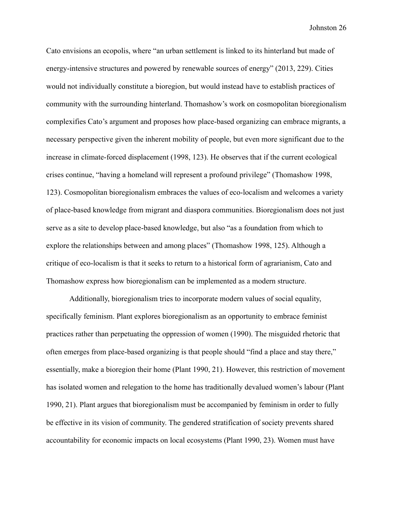Cato envisions an ecopolis, where "an urban settlement is linked to its hinterland but made of energy-intensive structures and powered by renewable sources of energy" (2013, 229). Cities would not individually constitute a bioregion, but would instead have to establish practices of community with the surrounding hinterland. Thomashow's work on cosmopolitan bioregionalism complexifies Cato's argument and proposes how place-based organizing can embrace migrants, a necessary perspective given the inherent mobility of people, but even more significant due to the increase in climate-forced displacement (1998, 123). He observes that if the current ecological crises continue, "having a homeland will represent a profound privilege" (Thomashow 1998, 123). Cosmopolitan bioregionalism embraces the values of eco-localism and welcomes a variety of place-based knowledge from migrant and diaspora communities. Bioregionalism does not just serve as a site to develop place-based knowledge, but also "as a foundation from which to explore the relationships between and among places" (Thomashow 1998, 125). Although a critique of eco-localism is that it seeks to return to a historical form of agrarianism, Cato and Thomashow express how bioregionalism can be implemented as a modern structure.

Additionally, bioregionalism tries to incorporate modern values of social equality, specifically feminism. Plant explores bioregionalism as an opportunity to embrace feminist practices rather than perpetuating the oppression of women (1990). The misguided rhetoric that often emerges from place-based organizing is that people should "find a place and stay there," essentially, make a bioregion their home (Plant 1990, 21). However, this restriction of movement has isolated women and relegation to the home has traditionally devalued women's labour (Plant 1990, 21). Plant argues that bioregionalism must be accompanied by feminism in order to fully be effective in its vision of community. The gendered stratification of society prevents shared accountability for economic impacts on local ecosystems (Plant 1990, 23). Women must have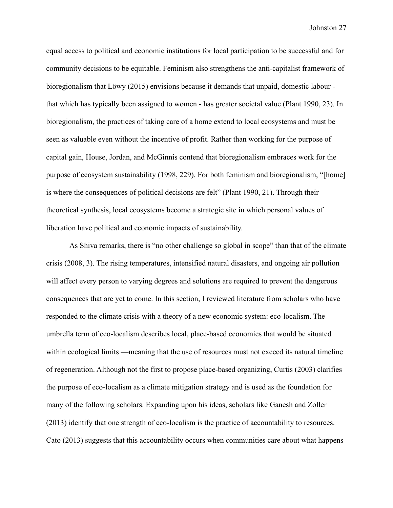equal access to political and economic institutions for local participation to be successful and for community decisions to be equitable. Feminism also strengthens the anti-capitalist framework of bioregionalism that Löwy (2015) envisions because it demands that unpaid, domestic labour that which has typically been assigned to women - has greater societal value (Plant 1990, 23). In bioregionalism, the practices of taking care of a home extend to local ecosystems and must be seen as valuable even without the incentive of profit. Rather than working for the purpose of capital gain, House, Jordan, and McGinnis contend that bioregionalism embraces work for the purpose of ecosystem sustainability (1998, 229). For both feminism and bioregionalism, "[home] is where the consequences of political decisions are felt" (Plant 1990, 21). Through their theoretical synthesis, local ecosystems become a strategic site in which personal values of liberation have political and economic impacts of sustainability.

As Shiva remarks, there is "no other challenge so global in scope" than that of the climate crisis (2008, 3). The rising temperatures, intensified natural disasters, and ongoing air pollution will affect every person to varying degrees and solutions are required to prevent the dangerous consequences that are yet to come. In this section, I reviewed literature from scholars who have responded to the climate crisis with a theory of a new economic system: eco-localism. The umbrella term of eco-localism describes local, place-based economies that would be situated within ecological limits —meaning that the use of resources must not exceed its natural timeline of regeneration. Although not the first to propose place-based organizing, Curtis (2003) clarifies the purpose of eco-localism as a climate mitigation strategy and is used as the foundation for many of the following scholars. Expanding upon his ideas, scholars like Ganesh and Zoller (2013) identify that one strength of eco-localism is the practice of accountability to resources. Cato (2013) suggests that this accountability occurs when communities care about what happens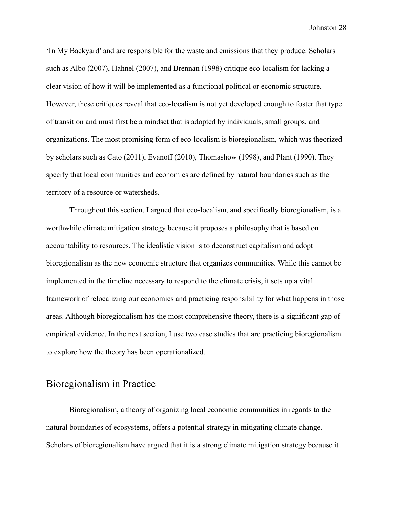'In My Backyard' and are responsible for the waste and emissions that they produce. Scholars such as Albo (2007), Hahnel (2007), and Brennan (1998) critique eco-localism for lacking a clear vision of how it will be implemented as a functional political or economic structure. However, these critiques reveal that eco-localism is not yet developed enough to foster that type of transition and must first be a mindset that is adopted by individuals, small groups, and organizations. The most promising form of eco-localism is bioregionalism, which was theorized by scholars such as Cato (2011), Evanoff (2010), Thomashow (1998), and Plant (1990). They specify that local communities and economies are defined by natural boundaries such as the territory of a resource or watersheds.

Throughout this section, I argued that eco-localism, and specifically bioregionalism, is a worthwhile climate mitigation strategy because it proposes a philosophy that is based on accountability to resources. The idealistic vision is to deconstruct capitalism and adopt bioregionalism as the new economic structure that organizes communities. While this cannot be implemented in the timeline necessary to respond to the climate crisis, it sets up a vital framework of relocalizing our economies and practicing responsibility for what happens in those areas. Although bioregionalism has the most comprehensive theory, there is a significant gap of empirical evidence. In the next section, I use two case studies that are practicing bioregionalism to explore how the theory has been operationalized.

# <span id="page-28-0"></span>Bioregionalism in Practice

Bioregionalism, a theory of organizing local economic communities in regards to the natural boundaries of ecosystems, offers a potential strategy in mitigating climate change. Scholars of bioregionalism have argued that it is a strong climate mitigation strategy because it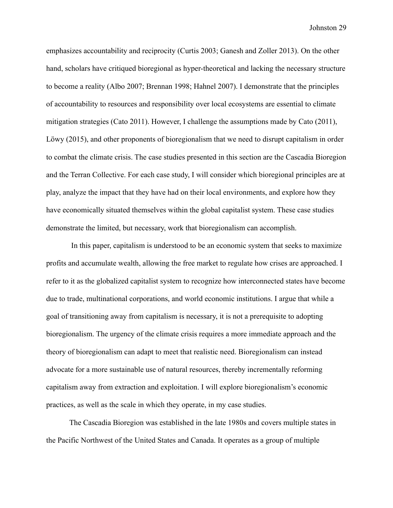emphasizes accountability and reciprocity (Curtis 2003; Ganesh and Zoller 2013). On the other hand, scholars have critiqued bioregional as hyper-theoretical and lacking the necessary structure to become a reality (Albo 2007; Brennan 1998; Hahnel 2007). I demonstrate that the principles of accountability to resources and responsibility over local ecosystems are essential to climate mitigation strategies (Cato 2011). However, I challenge the assumptions made by Cato (2011), Löwy (2015), and other proponents of bioregionalism that we need to disrupt capitalism in order to combat the climate crisis. The case studies presented in this section are the Cascadia Bioregion and the Terran Collective. For each case study, I will consider which bioregional principles are at play, analyze the impact that they have had on their local environments, and explore how they have economically situated themselves within the global capitalist system. These case studies demonstrate the limited, but necessary, work that bioregionalism can accomplish.

In this paper, capitalism is understood to be an economic system that seeks to maximize profits and accumulate wealth, allowing the free market to regulate how crises are approached. I refer to it as the globalized capitalist system to recognize how interconnected states have become due to trade, multinational corporations, and world economic institutions. I argue that while a goal of transitioning away from capitalism is necessary, it is not a prerequisite to adopting bioregionalism. The urgency of the climate crisis requires a more immediate approach and the theory of bioregionalism can adapt to meet that realistic need. Bioregionalism can instead advocate for a more sustainable use of natural resources, thereby incrementally reforming capitalism away from extraction and exploitation. I will explore bioregionalism's economic practices, as well as the scale in which they operate, in my case studies.

The Cascadia Bioregion was established in the late 1980s and covers multiple states in the Pacific Northwest of the United States and Canada. It operates as a group of multiple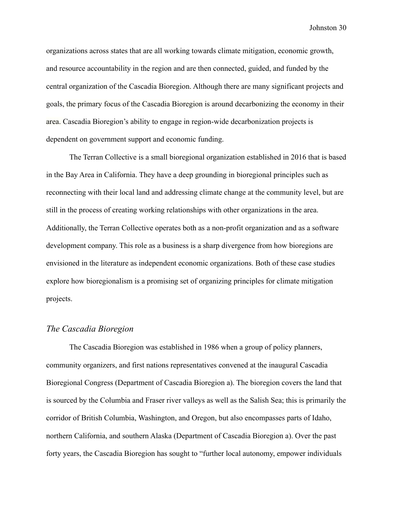organizations across states that are all working towards climate mitigation, economic growth, and resource accountability in the region and are then connected, guided, and funded by the central organization of the Cascadia Bioregion. Although there are many significant projects and goals, the primary focus of the Cascadia Bioregion is around decarbonizing the economy in their area. Cascadia Bioregion's ability to engage in region-wide decarbonization projects is dependent on government support and economic funding.

The Terran Collective is a small bioregional organization established in 2016 that is based in the Bay Area in California. They have a deep grounding in bioregional principles such as reconnecting with their local land and addressing climate change at the community level, but are still in the process of creating working relationships with other organizations in the area. Additionally, the Terran Collective operates both as a non-profit organization and as a software development company. This role as a business is a sharp divergence from how bioregions are envisioned in the literature as independent economic organizations. Both of these case studies explore how bioregionalism is a promising set of organizing principles for climate mitigation projects.

#### <span id="page-30-0"></span>*The Cascadia Bioregion*

The Cascadia Bioregion was established in 1986 when a group of policy planners, community organizers, and first nations representatives convened at the inaugural Cascadia Bioregional Congress (Department of Cascadia Bioregion a). The bioregion covers the land that is sourced by the Columbia and Fraser river valleys as well as the Salish Sea; this is primarily the corridor of British Columbia, Washington, and Oregon, but also encompasses parts of Idaho, northern California, and southern Alaska (Department of Cascadia Bioregion a). Over the past forty years, the Cascadia Bioregion has sought to "further local autonomy, empower individuals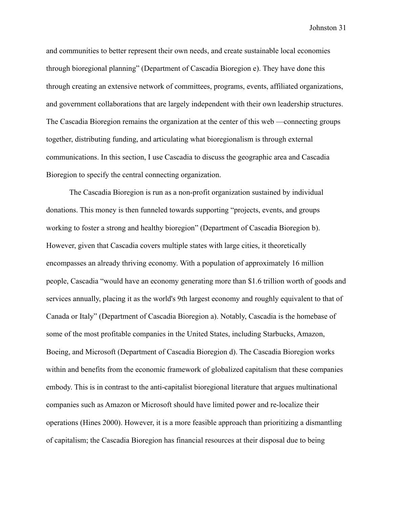and communities to better represent their own needs, and create sustainable local economies through bioregional planning" (Department of Cascadia Bioregion e). They have done this through creating an extensive network of committees, programs, events, affiliated organizations, and government collaborations that are largely independent with their own leadership structures. The Cascadia Bioregion remains the organization at the center of this web —connecting groups together, distributing funding, and articulating what bioregionalism is through external communications. In this section, I use Cascadia to discuss the geographic area and Cascadia Bioregion to specify the central connecting organization.

The Cascadia Bioregion is run as a non-profit organization sustained by individual donations. This money is then funneled towards supporting "projects, events, and groups working to foster a strong and healthy bioregion" (Department of Cascadia Bioregion b). However, given that Cascadia covers multiple states with large cities, it theoretically encompasses an already thriving economy. With a population of approximately 16 million people, Cascadia "would have an economy generating more than \$1.6 trillion worth of goods and services annually, placing it as the world's 9th largest economy and roughly equivalent to that of Canada or Italy" (Department of Cascadia Bioregion a). Notably, Cascadia is the homebase of some of the most profitable companies in the United States, including Starbucks, Amazon, Boeing, and Microsoft (Department of Cascadia Bioregion d). The Cascadia Bioregion works within and benefits from the economic framework of globalized capitalism that these companies embody. This is in contrast to the anti-capitalist bioregional literature that argues multinational companies such as Amazon or Microsoft should have limited power and re-localize their operations (Hines 2000). However, it is a more feasible approach than prioritizing a dismantling of capitalism; the Cascadia Bioregion has financial resources at their disposal due to being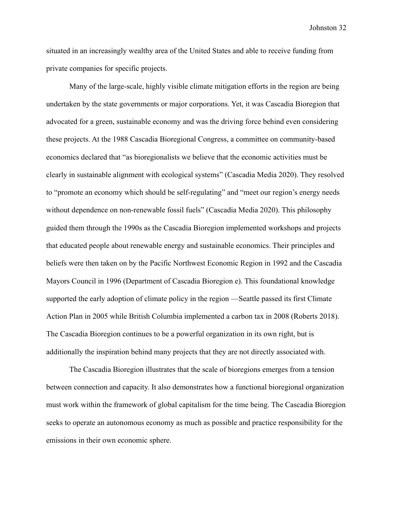situated in an increasingly wealthy area of the United States and able to receive funding from private companies for specific projects.

Many of the large-scale, highly visible climate mitigation efforts in the region are being undertaken by the state governments or major corporations. Yet, it was Cascadia Bioregion that advocated for a green, sustainable economy and was the driving force behind even considering these projects. At the 1988 Cascadia Bioregional Congress, a committee on community-based economics declared that "as bioregionalists we believe that the economic activities must be clearly in sustainable alignment with ecological systems" (Cascadia Media 2020). They resolved to "promote an economy which should be self-regulating" and "meet our region's energy needs without dependence on non-renewable fossil fuels" (Cascadia Media 2020). This philosophy guided them through the 1990s as the Cascadia Bioregion implemented workshops and projects that educated people about renewable energy and sustainable economics. Their principles and beliefs were then taken on by the Pacific Northwest Economic Region in 1992 and the Cascadia Mayors Council in 1996 (Department of Cascadia Bioregion e). This foundational knowledge supported the early adoption of climate policy in the region —Seattle passed its first Climate Action Plan in 2005 while British Columbia implemented a carbon tax in 2008 (Roberts 2018). The Cascadia Bioregion continues to be a powerful organization in its own right, but is additionally the inspiration behind many projects that they are not directly associated with.

The Cascadia Bioregion illustrates that the scale of bioregions emerges from a tension between connection and capacity. It also demonstrates how a functional bioregional organization must work within the framework of global capitalism for the time being. The Cascadia Bioregion seeks to operate an autonomous economy as much as possible and practice responsibility for the emissions in their own economic sphere.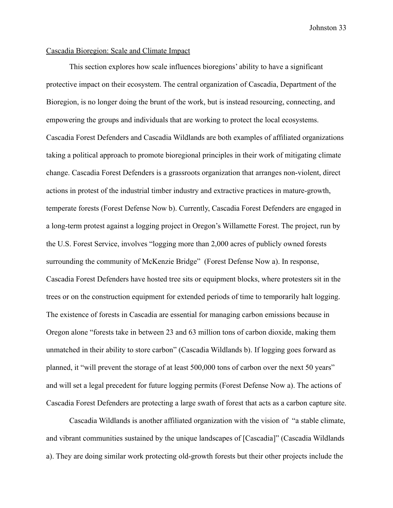### <span id="page-33-0"></span>Cascadia Bioregion: Scale and Climate Impact

This section explores how scale influences bioregions' ability to have a significant protective impact on their ecosystem. The central organization of Cascadia, Department of the Bioregion, is no longer doing the brunt of the work, but is instead resourcing, connecting, and empowering the groups and individuals that are working to protect the local ecosystems. Cascadia Forest Defenders and Cascadia Wildlands are both examples of affiliated organizations taking a political approach to promote bioregional principles in their work of mitigating climate change. Cascadia Forest Defenders is a grassroots organization that arranges non-violent, direct actions in protest of the industrial timber industry and extractive practices in mature-growth, temperate forests (Forest Defense Now b). Currently, Cascadia Forest Defenders are engaged in a long-term protest against a logging project in Oregon's Willamette Forest. The project, run by the U.S. Forest Service, involves "logging more than 2,000 acres of publicly owned forests surrounding the community of McKenzie Bridge" (Forest Defense Now a). In response, Cascadia Forest Defenders have hosted tree sits or equipment blocks, where protesters sit in the trees or on the construction equipment for extended periods of time to temporarily halt logging. The existence of forests in Cascadia are essential for managing carbon emissions because in Oregon alone "forests take in between 23 and 63 million tons of carbon dioxide, making them unmatched in their ability to store carbon" (Cascadia Wildlands b). If logging goes forward as planned, it "will prevent the storage of at least 500,000 tons of carbon over the next 50 years" and will set a legal precedent for future logging permits (Forest Defense Now a). The actions of Cascadia Forest Defenders are protecting a large swath of forest that acts as a carbon capture site.

Cascadia Wildlands is another affiliated organization with the vision of "a stable climate, and vibrant communities sustained by the unique landscapes of [Cascadia]" (Cascadia Wildlands a). They are doing similar work protecting old-growth forests but their other projects include the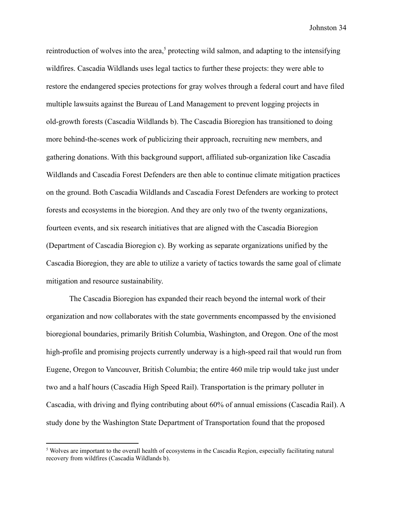reintroduction of wolves into the area,<sup>5</sup> protecting wild salmon, and adapting to the intensifying wildfires. Cascadia Wildlands uses legal tactics to further these projects: they were able to restore the endangered species protections for gray wolves through a federal court and have filed multiple lawsuits against the Bureau of Land Management to prevent logging projects in old-growth forests (Cascadia Wildlands b). The Cascadia Bioregion has transitioned to doing more behind-the-scenes work of publicizing their approach, recruiting new members, and gathering donations. With this background support, affiliated sub-organization like Cascadia Wildlands and Cascadia Forest Defenders are then able to continue climate mitigation practices on the ground. Both Cascadia Wildlands and Cascadia Forest Defenders are working to protect forests and ecosystems in the bioregion. And they are only two of the twenty organizations, fourteen events, and six research initiatives that are aligned with the Cascadia Bioregion (Department of Cascadia Bioregion c). By working as separate organizations unified by the Cascadia Bioregion, they are able to utilize a variety of tactics towards the same goal of climate mitigation and resource sustainability.

The Cascadia Bioregion has expanded their reach beyond the internal work of their organization and now collaborates with the state governments encompassed by the envisioned bioregional boundaries, primarily British Columbia, Washington, and Oregon. One of the most high-profile and promising projects currently underway is a high-speed rail that would run from Eugene, Oregon to Vancouver, British Columbia; the entire 460 mile trip would take just under two and a half hours (Cascadia High Speed Rail). Transportation is the primary polluter in Cascadia, with driving and flying contributing about 60% of annual emissions (Cascadia Rail). A study done by the Washington State Department of Transportation found that the proposed

<sup>&</sup>lt;sup>5</sup> Wolves are important to the overall health of ecosystems in the Cascadia Region, especially facilitating natural recovery from wildfires (Cascadia Wildlands b).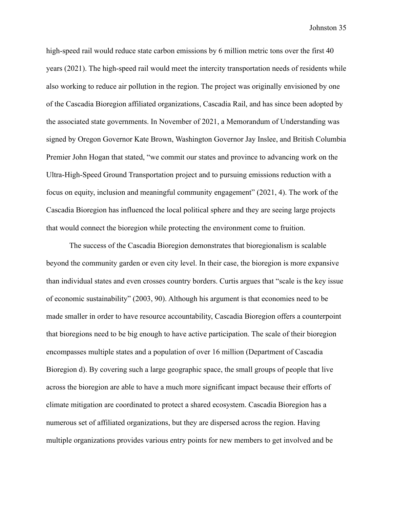high-speed rail would reduce state carbon emissions by 6 million metric tons over the first 40 years (2021). The high-speed rail would meet the intercity transportation needs of residents while also working to reduce air pollution in the region. The project was originally envisioned by one of the Cascadia Bioregion affiliated organizations, Cascadia Rail, and has since been adopted by the associated state governments. In November of 2021, a Memorandum of Understanding was signed by Oregon Governor Kate Brown, Washington Governor Jay Inslee, and British Columbia Premier John Hogan that stated, "we commit our states and province to advancing work on the Ultra-High-Speed Ground Transportation project and to pursuing emissions reduction with a focus on equity, inclusion and meaningful community engagement" (2021, 4). The work of the Cascadia Bioregion has influenced the local political sphere and they are seeing large projects that would connect the bioregion while protecting the environment come to fruition.

The success of the Cascadia Bioregion demonstrates that bioregionalism is scalable beyond the community garden or even city level. In their case, the bioregion is more expansive than individual states and even crosses country borders. Curtis argues that "scale is the key issue of economic sustainability" (2003, 90). Although his argument is that economies need to be made smaller in order to have resource accountability, Cascadia Bioregion offers a counterpoint that bioregions need to be big enough to have active participation. The scale of their bioregion encompasses multiple states and a population of over 16 million (Department of Cascadia Bioregion d). By covering such a large geographic space, the small groups of people that live across the bioregion are able to have a much more significant impact because their efforts of climate mitigation are coordinated to protect a shared ecosystem. Cascadia Bioregion has a numerous set of affiliated organizations, but they are dispersed across the region. Having multiple organizations provides various entry points for new members to get involved and be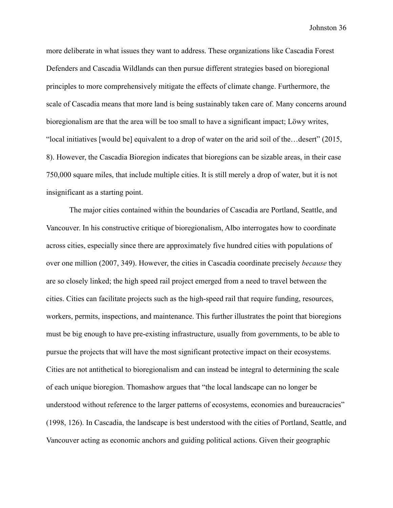more deliberate in what issues they want to address. These organizations like Cascadia Forest Defenders and Cascadia Wildlands can then pursue different strategies based on bioregional principles to more comprehensively mitigate the effects of climate change. Furthermore, the scale of Cascadia means that more land is being sustainably taken care of. Many concerns around bioregionalism are that the area will be too small to have a significant impact; Löwy writes, "local initiatives [would be] equivalent to a drop of water on the arid soil of the…desert" (2015, 8). However, the Cascadia Bioregion indicates that bioregions can be sizable areas, in their case 750,000 square miles, that include multiple cities. It is still merely a drop of water, but it is not insignificant as a starting point.

The major cities contained within the boundaries of Cascadia are Portland, Seattle, and Vancouver. In his constructive critique of bioregionalism, Albo interrogates how to coordinate across cities, especially since there are approximately five hundred cities with populations of over one million (2007, 349). However, the cities in Cascadia coordinate precisely *because* they are so closely linked; the high speed rail project emerged from a need to travel between the cities. Cities can facilitate projects such as the high-speed rail that require funding, resources, workers, permits, inspections, and maintenance. This further illustrates the point that bioregions must be big enough to have pre-existing infrastructure, usually from governments, to be able to pursue the projects that will have the most significant protective impact on their ecosystems. Cities are not antithetical to bioregionalism and can instead be integral to determining the scale of each unique bioregion. Thomashow argues that "the local landscape can no longer be understood without reference to the larger patterns of ecosystems, economies and bureaucracies" (1998, 126). In Cascadia, the landscape is best understood with the cities of Portland, Seattle, and Vancouver acting as economic anchors and guiding political actions. Given their geographic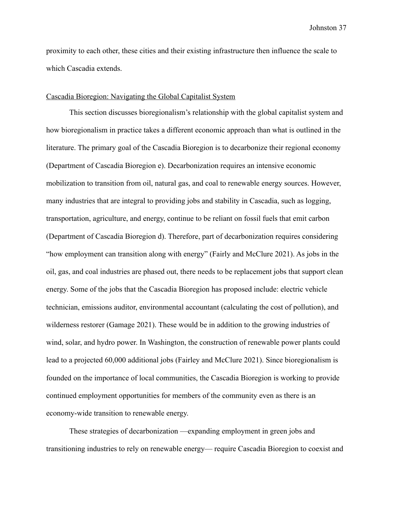proximity to each other, these cities and their existing infrastructure then influence the scale to which Cascadia extends.

### <span id="page-37-0"></span>Cascadia Bioregion: Navigating the Global Capitalist System

This section discusses bioregionalism's relationship with the global capitalist system and how bioregionalism in practice takes a different economic approach than what is outlined in the literature. The primary goal of the Cascadia Bioregion is to decarbonize their regional economy (Department of Cascadia Bioregion e). Decarbonization requires an intensive economic mobilization to transition from oil, natural gas, and coal to renewable energy sources. However, many industries that are integral to providing jobs and stability in Cascadia, such as logging, transportation, agriculture, and energy, continue to be reliant on fossil fuels that emit carbon (Department of Cascadia Bioregion d). Therefore, part of decarbonization requires considering "how employment can transition along with energy" (Fairly and McClure 2021). As jobs in the oil, gas, and coal industries are phased out, there needs to be replacement jobs that support clean energy. Some of the jobs that the Cascadia Bioregion has proposed include: electric vehicle technician, emissions auditor, environmental accountant (calculating the cost of pollution), and wilderness restorer (Gamage 2021). These would be in addition to the growing industries of wind, solar, and hydro power. In Washington, the construction of renewable power plants could lead to a projected 60,000 additional jobs (Fairley and McClure 2021). Since bioregionalism is founded on the importance of local communities, the Cascadia Bioregion is working to provide continued employment opportunities for members of the community even as there is an economy-wide transition to renewable energy.

These strategies of decarbonization —expanding employment in green jobs and transitioning industries to rely on renewable energy— require Cascadia Bioregion to coexist and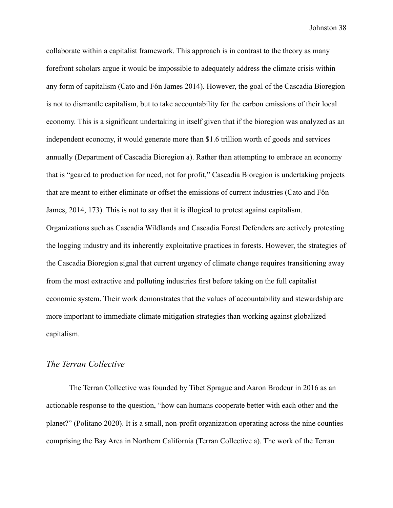collaborate within a capitalist framework. This approach is in contrast to the theory as many forefront scholars argue it would be impossible to adequately address the climate crisis within any form of capitalism (Cato and Fôn James 2014). However, the goal of the Cascadia Bioregion is not to dismantle capitalism, but to take accountability for the carbon emissions of their local economy. This is a significant undertaking in itself given that if the bioregion was analyzed as an independent economy, it would generate more than \$1.6 trillion worth of goods and services annually (Department of Cascadia Bioregion a). Rather than attempting to embrace an economy that is "geared to production for need, not for profit," Cascadia Bioregion is undertaking projects that are meant to either eliminate or offset the emissions of current industries (Cato and Fôn James, 2014, 173). This is not to say that it is illogical to protest against capitalism. Organizations such as Cascadia Wildlands and Cascadia Forest Defenders are actively protesting the logging industry and its inherently exploitative practices in forests. However, the strategies of the Cascadia Bioregion signal that current urgency of climate change requires transitioning away from the most extractive and polluting industries first before taking on the full capitalist economic system. Their work demonstrates that the values of accountability and stewardship are more important to immediate climate mitigation strategies than working against globalized capitalism.

## <span id="page-38-0"></span>*The Terran Collective*

The Terran Collective was founded by Tibet Sprague and Aaron Brodeur in 2016 as an actionable response to the question, "how can humans cooperate better with each other and the planet?" (Politano 2020). It is a small, non-profit organization operating across the nine counties comprising the Bay Area in Northern California (Terran Collective a). The work of the Terran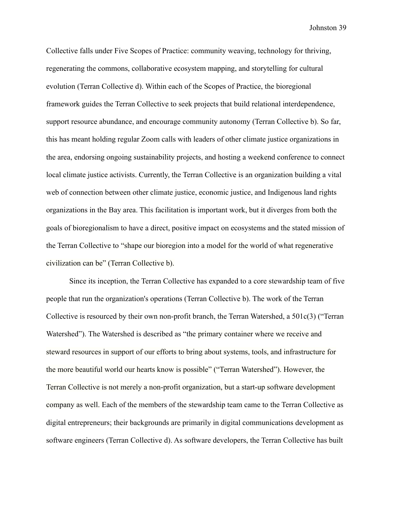Collective falls under Five Scopes of Practice: community weaving, technology for thriving, regenerating the commons, collaborative ecosystem mapping, and storytelling for cultural evolution (Terran Collective d). Within each of the Scopes of Practice, the bioregional framework guides the Terran Collective to seek projects that build relational interdependence, support resource abundance, and encourage community autonomy (Terran Collective b). So far, this has meant holding regular Zoom calls with leaders of other climate justice organizations in the area, endorsing ongoing sustainability projects, and hosting a weekend conference to connect local climate justice activists. Currently, the Terran Collective is an organization building a vital web of connection between other climate justice, economic justice, and Indigenous land rights organizations in the Bay area. This facilitation is important work, but it diverges from both the goals of bioregionalism to have a direct, positive impact on ecosystems and the stated mission of the Terran Collective to "shape our bioregion into a model for the world of what regenerative civilization can be" (Terran Collective b).

Since its inception, the Terran Collective has expanded to a core stewardship team of five people that run the organization's operations (Terran Collective b). The work of the Terran Collective is resourced by their own non-profit branch, the Terran Watershed, a 501c(3) ("Terran Watershed"). The Watershed is described as "the primary container where we receive and steward resources in support of our efforts to bring about systems, tools, and infrastructure for the more beautiful world our hearts know is possible" ("Terran Watershed"). However, the Terran Collective is not merely a non-profit organization, but a start-up software development company as well. Each of the members of the stewardship team came to the Terran Collective as digital entrepreneurs; their backgrounds are primarily in digital communications development as software engineers (Terran Collective d). As software developers, the Terran Collective has built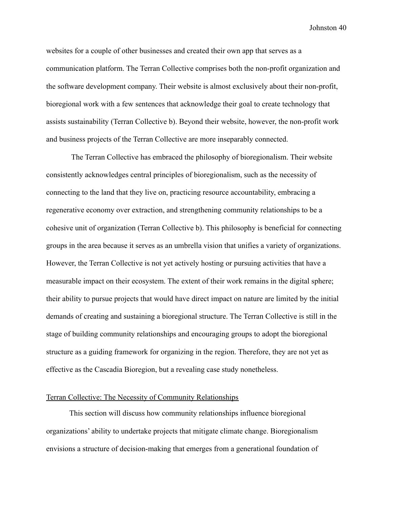websites for a couple of other businesses and created their own app that serves as a communication platform. The Terran Collective comprises both the non-profit organization and the software development company. Their website is almost exclusively about their non-profit, bioregional work with a few sentences that acknowledge their goal to create technology that assists sustainability (Terran Collective b). Beyond their website, however, the non-profit work and business projects of the Terran Collective are more inseparably connected.

The Terran Collective has embraced the philosophy of bioregionalism. Their website consistently acknowledges central principles of bioregionalism, such as the necessity of connecting to the land that they live on, practicing resource accountability, embracing a regenerative economy over extraction, and strengthening community relationships to be a cohesive unit of organization (Terran Collective b). This philosophy is beneficial for connecting groups in the area because it serves as an umbrella vision that unifies a variety of organizations. However, the Terran Collective is not yet actively hosting or pursuing activities that have a measurable impact on their ecosystem. The extent of their work remains in the digital sphere; their ability to pursue projects that would have direct impact on nature are limited by the initial demands of creating and sustaining a bioregional structure. The Terran Collective is still in the stage of building community relationships and encouraging groups to adopt the bioregional structure as a guiding framework for organizing in the region. Therefore, they are not yet as effective as the Cascadia Bioregion, but a revealing case study nonetheless.

#### <span id="page-40-0"></span>Terran Collective: The Necessity of Community Relationships

This section will discuss how community relationships influence bioregional organizations' ability to undertake projects that mitigate climate change. Bioregionalism envisions a structure of decision-making that emerges from a generational foundation of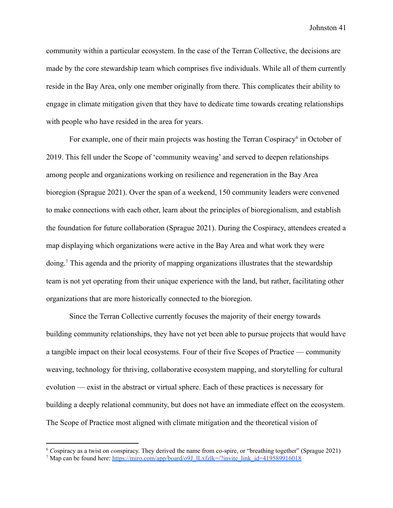community within a particular ecosystem. In the case of the Terran Collective, the decisions are made by the core stewardship team which comprises five individuals. While all of them currently reside in the Bay Area, only one member originally from there. This complicates their ability to engage in climate mitigation given that they have to dedicate time towards creating relationships with people who have resided in the area for years.

For example, one of their main projects was hosting the Terran Cospiracy<sup>6</sup> in October of 2019. This fell under the Scope of 'community weaving' and served to deepen relationships among people and organizations working on resilience and regeneration in the Bay Area bioregion (Sprague 2021). Over the span of a weekend, 150 community leaders were convened to make connections with each other, learn about the principles of bioregionalism, and establish the foundation for future collaboration (Sprague 2021). During the Cospiracy, attendees created a map displaying which organizations were active in the Bay Area and what work they were doing.<sup>7</sup> This agenda and the priority of mapping organizations illustrates that the stewardship team is not yet operating from their unique experience with the land, but rather, facilitating other organizations that are more historically connected to the bioregion.

Since the Terran Collective currently focuses the majority of their energy towards building community relationships, they have not yet been able to pursue projects that would have a tangible impact on their local ecosystems. Four of their five Scopes of Practice — community weaving, technology for thriving, collaborative ecosystem mapping, and storytelling for cultural evolution — exist in the abstract or virtual sphere. Each of these practices is necessary for building a deeply relational community, but does not have an immediate effect on the ecosystem. The Scope of Practice most aligned with climate mitigation and the theoretical vision of

<sup>&</sup>lt;sup>7</sup> Map can be found here: [https://miro.com/app/board/o9J\\_lLxfzlk=/?invite\\_link\\_id=419589916018](https://miro.com/app/board/o9J_lLxfzlk=/?invite_link_id=419589916018) <sup>6</sup> *Co*spiracy as a twist on *con*spiracy. They derived the name from co-spire, or "breathing together" (Sprague 2021)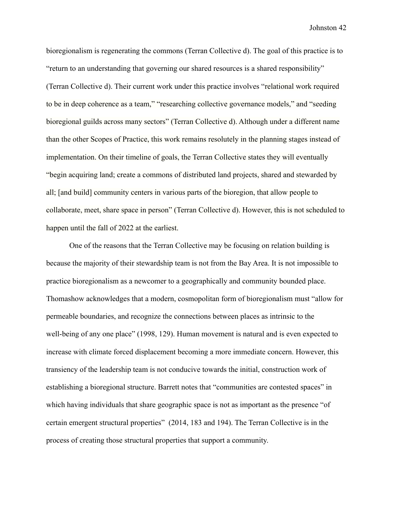bioregionalism is regenerating the commons (Terran Collective d). The goal of this practice is to "return to an understanding that governing our shared resources is a shared responsibility" (Terran Collective d). Their current work under this practice involves "relational work required to be in deep coherence as a team," "researching collective governance models," and "seeding bioregional guilds across many sectors" (Terran Collective d). Although under a different name than the other Scopes of Practice, this work remains resolutely in the planning stages instead of implementation. On their timeline of goals, the Terran Collective states they will eventually "begin acquiring land; create a commons of distributed land projects, shared and stewarded by all; [and build] community centers in various parts of the bioregion, that allow people to collaborate, meet, share space in person" (Terran Collective d). However, this is not scheduled to happen until the fall of 2022 at the earliest.

One of the reasons that the Terran Collective may be focusing on relation building is because the majority of their stewardship team is not from the Bay Area. It is not impossible to practice bioregionalism as a newcomer to a geographically and community bounded place. Thomashow acknowledges that a modern, cosmopolitan form of bioregionalism must "allow for permeable boundaries, and recognize the connections between places as intrinsic to the well-being of any one place" (1998, 129). Human movement is natural and is even expected to increase with climate forced displacement becoming a more immediate concern. However, this transiency of the leadership team is not conducive towards the initial, construction work of establishing a bioregional structure. Barrett notes that "communities are contested spaces" in which having individuals that share geographic space is not as important as the presence "of" certain emergent structural properties" (2014, 183 and 194). The Terran Collective is in the process of creating those structural properties that support a community.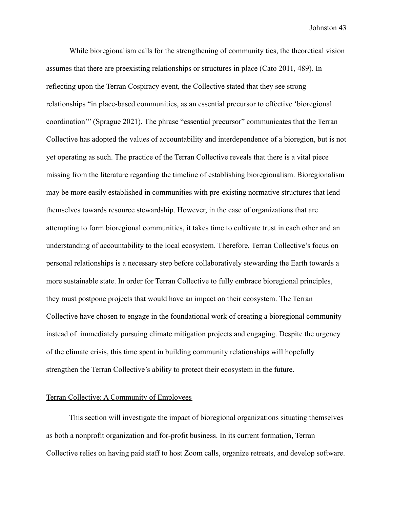While bioregionalism calls for the strengthening of community ties, the theoretical vision assumes that there are preexisting relationships or structures in place (Cato 2011, 489). In reflecting upon the Terran Cospiracy event, the Collective stated that they see strong relationships "in place-based communities, as an essential precursor to effective 'bioregional coordination'" (Sprague 2021). The phrase "essential precursor" communicates that the Terran Collective has adopted the values of accountability and interdependence of a bioregion, but is not yet operating as such. The practice of the Terran Collective reveals that there is a vital piece missing from the literature regarding the timeline of establishing bioregionalism. Bioregionalism may be more easily established in communities with pre-existing normative structures that lend themselves towards resource stewardship. However, in the case of organizations that are attempting to form bioregional communities, it takes time to cultivate trust in each other and an understanding of accountability to the local ecosystem. Therefore, Terran Collective's focus on personal relationships is a necessary step before collaboratively stewarding the Earth towards a more sustainable state. In order for Terran Collective to fully embrace bioregional principles, they must postpone projects that would have an impact on their ecosystem. The Terran Collective have chosen to engage in the foundational work of creating a bioregional community instead of immediately pursuing climate mitigation projects and engaging. Despite the urgency of the climate crisis, this time spent in building community relationships will hopefully strengthen the Terran Collective's ability to protect their ecosystem in the future.

#### <span id="page-43-0"></span>Terran Collective: A Community of Employees

This section will investigate the impact of bioregional organizations situating themselves as both a nonprofit organization and for-profit business. In its current formation, Terran Collective relies on having paid staff to host Zoom calls, organize retreats, and develop software.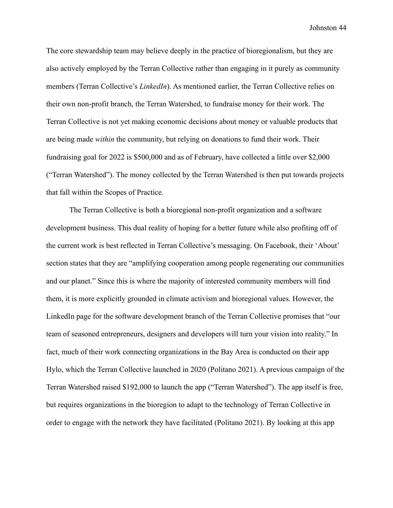The core stewardship team may believe deeply in the practice of bioregionalism, but they are also actively employed by the Terran Collective rather than engaging in it purely as community members (Terran Collective's *LinkedIn*). As mentioned earlier, the Terran Collective relies on their own non-profit branch, the Terran Watershed, to fundraise money for their work. The Terran Collective is not yet making economic decisions about money or valuable products that are being made *within* the community, but relying on donations to fund their work. Their fundraising goal for 2022 is \$500,000 and as of February, have collected a little over \$2,000 ("Terran Watershed"). The money collected by the Terran Watershed is then put towards projects that fall within the Scopes of Practice.

The Terran Collective is both a bioregional non-profit organization and a software development business. This dual reality of hoping for a better future while also profiting off of the current work is best reflected in Terran Collective's messaging. On Facebook, their 'About' section states that they are "amplifying cooperation among people regenerating our communities and our planet." Since this is where the majority of interested community members will find them, it is more explicitly grounded in climate activism and bioregional values. However, the LinkedIn page for the software development branch of the Terran Collective promises that "our team of seasoned entrepreneurs, designers and developers will turn your vision into reality." In fact, much of their work connecting organizations in the Bay Area is conducted on their app Hylo, which the Terran Collective launched in 2020 (Politano 2021). A previous campaign of the Terran Watershed raised \$192,000 to launch the app ("Terran Watershed"). The app itself is free, but requires organizations in the bioregion to adapt to the technology of Terran Collective in order to engage with the network they have facilitated (Politano 2021). By looking at this app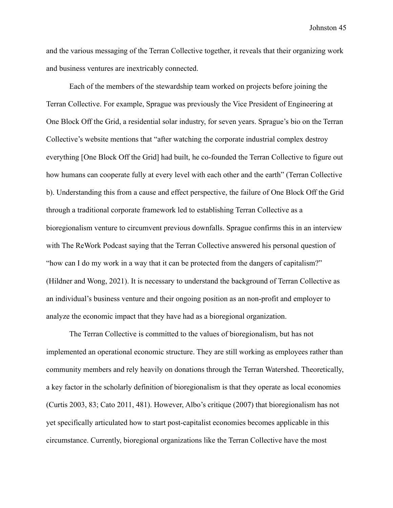and the various messaging of the Terran Collective together, it reveals that their organizing work and business ventures are inextricably connected.

Each of the members of the stewardship team worked on projects before joining the Terran Collective. For example, Sprague was previously the Vice President of Engineering at One Block Off the Grid, a residential solar industry, for seven years. Sprague's bio on the Terran Collective's website mentions that "after watching the corporate industrial complex destroy everything [One Block Off the Grid] had built, he co-founded the Terran Collective to figure out how humans can cooperate fully at every level with each other and the earth" (Terran Collective b). Understanding this from a cause and effect perspective, the failure of One Block Off the Grid through a traditional corporate framework led to establishing Terran Collective as a bioregionalism venture to circumvent previous downfalls. Sprague confirms this in an interview with The ReWork Podcast saying that the Terran Collective answered his personal question of "how can I do my work in a way that it can be protected from the dangers of capitalism?" (Hildner and Wong, 2021). It is necessary to understand the background of Terran Collective as an individual's business venture and their ongoing position as an non-profit and employer to analyze the economic impact that they have had as a bioregional organization.

The Terran Collective is committed to the values of bioregionalism, but has not implemented an operational economic structure. They are still working as employees rather than community members and rely heavily on donations through the Terran Watershed. Theoretically, a key factor in the scholarly definition of bioregionalism is that they operate as local economies (Curtis 2003, 83; Cato 2011, 481). However, Albo's critique (2007) that bioregionalism has not yet specifically articulated how to start post-capitalist economies becomes applicable in this circumstance. Currently, bioregional organizations like the Terran Collective have the most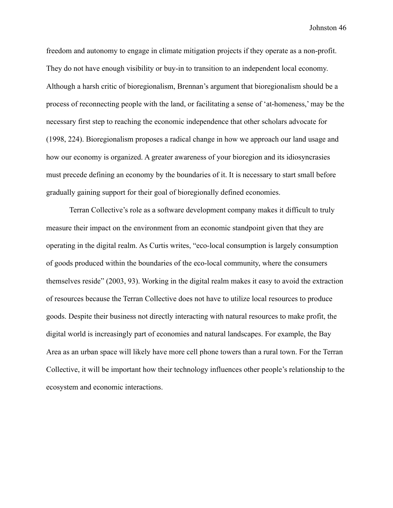freedom and autonomy to engage in climate mitigation projects if they operate as a non-profit. They do not have enough visibility or buy-in to transition to an independent local economy. Although a harsh critic of bioregionalism, Brennan's argument that bioregionalism should be a process of reconnecting people with the land, or facilitating a sense of 'at-homeness,' may be the necessary first step to reaching the economic independence that other scholars advocate for (1998, 224). Bioregionalism proposes a radical change in how we approach our land usage and how our economy is organized. A greater awareness of your bioregion and its idiosyncrasies must precede defining an economy by the boundaries of it. It is necessary to start small before gradually gaining support for their goal of bioregionally defined economies.

Terran Collective's role as a software development company makes it difficult to truly measure their impact on the environment from an economic standpoint given that they are operating in the digital realm. As Curtis writes, "eco-local consumption is largely consumption of goods produced within the boundaries of the eco-local community, where the consumers themselves reside" (2003, 93). Working in the digital realm makes it easy to avoid the extraction of resources because the Terran Collective does not have to utilize local resources to produce goods. Despite their business not directly interacting with natural resources to make profit, the digital world is increasingly part of economies and natural landscapes. For example, the Bay Area as an urban space will likely have more cell phone towers than a rural town. For the Terran Collective, it will be important how their technology influences other people's relationship to the ecosystem and economic interactions.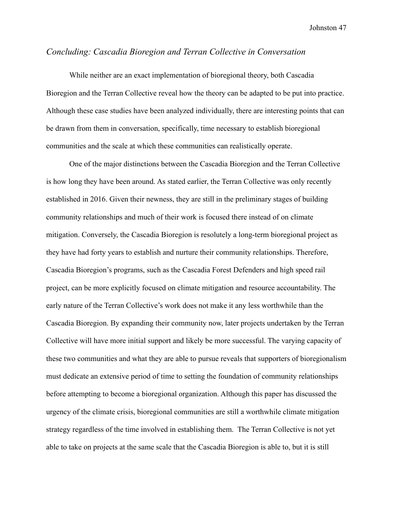## <span id="page-47-0"></span>*Concluding: Cascadia Bioregion and Terran Collective in Conversation*

While neither are an exact implementation of bioregional theory, both Cascadia Bioregion and the Terran Collective reveal how the theory can be adapted to be put into practice. Although these case studies have been analyzed individually, there are interesting points that can be drawn from them in conversation, specifically, time necessary to establish bioregional communities and the scale at which these communities can realistically operate.

One of the major distinctions between the Cascadia Bioregion and the Terran Collective is how long they have been around. As stated earlier, the Terran Collective was only recently established in 2016. Given their newness, they are still in the preliminary stages of building community relationships and much of their work is focused there instead of on climate mitigation. Conversely, the Cascadia Bioregion is resolutely a long-term bioregional project as they have had forty years to establish and nurture their community relationships. Therefore, Cascadia Bioregion's programs, such as the Cascadia Forest Defenders and high speed rail project, can be more explicitly focused on climate mitigation and resource accountability. The early nature of the Terran Collective's work does not make it any less worthwhile than the Cascadia Bioregion. By expanding their community now, later projects undertaken by the Terran Collective will have more initial support and likely be more successful. The varying capacity of these two communities and what they are able to pursue reveals that supporters of bioregionalism must dedicate an extensive period of time to setting the foundation of community relationships before attempting to become a bioregional organization. Although this paper has discussed the urgency of the climate crisis, bioregional communities are still a worthwhile climate mitigation strategy regardless of the time involved in establishing them. The Terran Collective is not yet able to take on projects at the same scale that the Cascadia Bioregion is able to, but it is still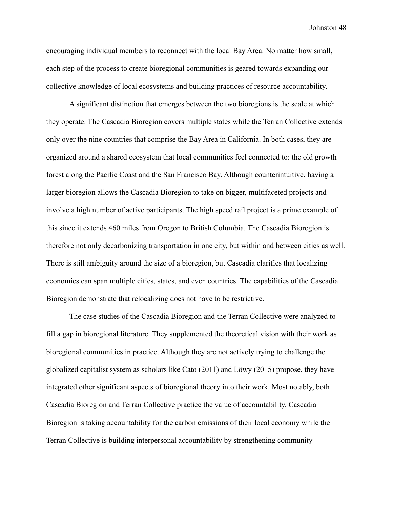encouraging individual members to reconnect with the local Bay Area. No matter how small, each step of the process to create bioregional communities is geared towards expanding our collective knowledge of local ecosystems and building practices of resource accountability.

A significant distinction that emerges between the two bioregions is the scale at which they operate. The Cascadia Bioregion covers multiple states while the Terran Collective extends only over the nine countries that comprise the Bay Area in California. In both cases, they are organized around a shared ecosystem that local communities feel connected to: the old growth forest along the Pacific Coast and the San Francisco Bay. Although counterintuitive, having a larger bioregion allows the Cascadia Bioregion to take on bigger, multifaceted projects and involve a high number of active participants. The high speed rail project is a prime example of this since it extends 460 miles from Oregon to British Columbia. The Cascadia Bioregion is therefore not only decarbonizing transportation in one city, but within and between cities as well. There is still ambiguity around the size of a bioregion, but Cascadia clarifies that localizing economies can span multiple cities, states, and even countries. The capabilities of the Cascadia Bioregion demonstrate that relocalizing does not have to be restrictive.

The case studies of the Cascadia Bioregion and the Terran Collective were analyzed to fill a gap in bioregional literature. They supplemented the theoretical vision with their work as bioregional communities in practice. Although they are not actively trying to challenge the globalized capitalist system as scholars like Cato (2011) and Löwy (2015) propose, they have integrated other significant aspects of bioregional theory into their work. Most notably, both Cascadia Bioregion and Terran Collective practice the value of accountability. Cascadia Bioregion is taking accountability for the carbon emissions of their local economy while the Terran Collective is building interpersonal accountability by strengthening community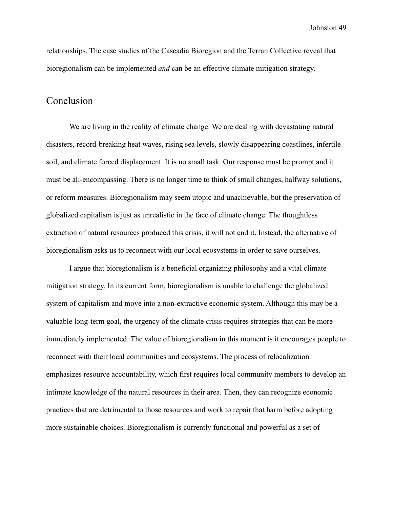relationships. The case studies of the Cascadia Bioregion and the Terran Collective reveal that bioregionalism can be implemented *and* can be an effective climate mitigation strategy.

# <span id="page-49-0"></span>Conclusion

We are living in the reality of climate change. We are dealing with devastating natural disasters, record-breaking heat waves, rising sea levels, slowly disappearing coastlines, infertile soil, and climate forced displacement. It is no small task. Our response must be prompt and it must be all-encompassing. There is no longer time to think of small changes, halfway solutions, or reform measures. Bioregionalism may seem utopic and unachievable, but the preservation of globalized capitalism is just as unrealistic in the face of climate change. The thoughtless extraction of natural resources produced this crisis, it will not end it. Instead, the alternative of bioregionalism asks us to reconnect with our local ecosystems in order to save ourselves.

I argue that bioregionalism is a beneficial organizing philosophy and a vital climate mitigation strategy. In its current form, bioregionalism is unable to challenge the globalized system of capitalism and move into a non-extractive economic system. Although this may be a valuable long-term goal, the urgency of the climate crisis requires strategies that can be more immediately implemented. The value of bioregionalism in this moment is it encourages people to reconnect with their local communities and ecosystems. The process of relocalization emphasizes resource accountability, which first requires local community members to develop an intimate knowledge of the natural resources in their area. Then, they can recognize economic practices that are detrimental to those resources and work to repair that harm before adopting more sustainable choices. Bioregionalism is currently functional and powerful as a set of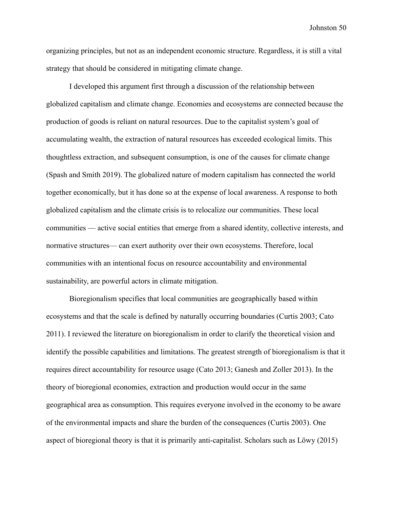organizing principles, but not as an independent economic structure. Regardless, it is still a vital strategy that should be considered in mitigating climate change.

I developed this argument first through a discussion of the relationship between globalized capitalism and climate change. Economies and ecosystems are connected because the production of goods is reliant on natural resources. Due to the capitalist system's goal of accumulating wealth, the extraction of natural resources has exceeded ecological limits. This thoughtless extraction, and subsequent consumption, is one of the causes for climate change (Spash and Smith 2019). The globalized nature of modern capitalism has connected the world together economically, but it has done so at the expense of local awareness. A response to both globalized capitalism and the climate crisis is to relocalize our communities. These local communities — active social entities that emerge from a shared identity, collective interests, and normative structures— can exert authority over their own ecosystems. Therefore, local communities with an intentional focus on resource accountability and environmental sustainability, are powerful actors in climate mitigation.

Bioregionalism specifies that local communities are geographically based within ecosystems and that the scale is defined by naturally occurring boundaries (Curtis 2003; Cato 2011). I reviewed the literature on bioregionalism in order to clarify the theoretical vision and identify the possible capabilities and limitations. The greatest strength of bioregionalism is that it requires direct accountability for resource usage (Cato 2013; Ganesh and Zoller 2013). In the theory of bioregional economies, extraction and production would occur in the same geographical area as consumption. This requires everyone involved in the economy to be aware of the environmental impacts and share the burden of the consequences (Curtis 2003). One aspect of bioregional theory is that it is primarily anti-capitalist. Scholars such as Löwy (2015)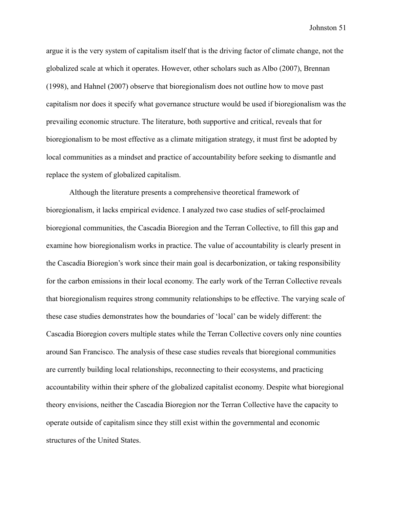argue it is the very system of capitalism itself that is the driving factor of climate change, not the globalized scale at which it operates. However, other scholars such as Albo (2007), Brennan (1998), and Hahnel (2007) observe that bioregionalism does not outline how to move past capitalism nor does it specify what governance structure would be used if bioregionalism was the prevailing economic structure. The literature, both supportive and critical, reveals that for bioregionalism to be most effective as a climate mitigation strategy, it must first be adopted by local communities as a mindset and practice of accountability before seeking to dismantle and replace the system of globalized capitalism.

Although the literature presents a comprehensive theoretical framework of bioregionalism, it lacks empirical evidence. I analyzed two case studies of self-proclaimed bioregional communities, the Cascadia Bioregion and the Terran Collective, to fill this gap and examine how bioregionalism works in practice. The value of accountability is clearly present in the Cascadia Bioregion's work since their main goal is decarbonization, or taking responsibility for the carbon emissions in their local economy. The early work of the Terran Collective reveals that bioregionalism requires strong community relationships to be effective. The varying scale of these case studies demonstrates how the boundaries of 'local' can be widely different: the Cascadia Bioregion covers multiple states while the Terran Collective covers only nine counties around San Francisco. The analysis of these case studies reveals that bioregional communities are currently building local relationships, reconnecting to their ecosystems, and practicing accountability within their sphere of the globalized capitalist economy. Despite what bioregional theory envisions, neither the Cascadia Bioregion nor the Terran Collective have the capacity to operate outside of capitalism since they still exist within the governmental and economic structures of the United States.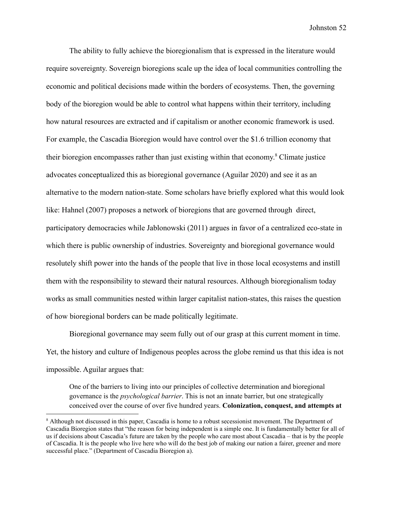The ability to fully achieve the bioregionalism that is expressed in the literature would require sovereignty. Sovereign bioregions scale up the idea of local communities controlling the economic and political decisions made within the borders of ecosystems. Then, the governing body of the bioregion would be able to control what happens within their territory, including how natural resources are extracted and if capitalism or another economic framework is used. For example, the Cascadia Bioregion would have control over the \$1.6 trillion economy that their bioregion encompasses rather than just existing within that economy. <sup>8</sup> Climate justice advocates conceptualized this as bioregional governance (Aguilar 2020) and see it as an alternative to the modern nation-state. Some scholars have briefly explored what this would look like: Hahnel (2007) proposes a network of bioregions that are governed through direct, participatory democracies while Jablonowski (2011) argues in favor of a centralized eco-state in which there is public ownership of industries. Sovereignty and bioregional governance would resolutely shift power into the hands of the people that live in those local ecosystems and instill them with the responsibility to steward their natural resources. Although bioregionalism today works as small communities nested within larger capitalist nation-states, this raises the question of how bioregional borders can be made politically legitimate.

Bioregional governance may seem fully out of our grasp at this current moment in time. Yet, the history and culture of Indigenous peoples across the globe remind us that this idea is not impossible. Aguilar argues that:

One of the barriers to living into our principles of collective determination and bioregional governance is the *psychological barrier*. This is not an innate barrier, but one strategically conceived over the course of over five hundred years. **Colonization, conquest, and attempts at**

<sup>&</sup>lt;sup>8</sup> Although not discussed in this paper, Cascadia is home to a robust secessionist movement. The Department of Cascadia Bioregion states that "the reason for being independent is a simple one. It is fundamentally better for all of us if decisions about Cascadia's future are taken by the people who care most about Cascadia – that is by the people of Cascadia. It is the people who live here who will do the best job of making our nation a fairer, greener and more successful place." (Department of Cascadia Bioregion a).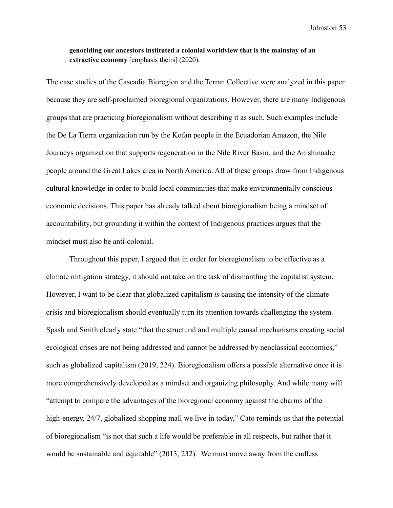### **genociding our ancestors instituted a colonial worldview that is the mainstay of an extractive economy** [emphasis theirs] (2020).

The case studies of the Cascadia Bioregion and the Terran Collective were analyzed in this paper because they are self-proclaimed bioregional organizations. However, there are many Indigenous groups that are practicing bioregionalism without describing it as such. Such examples include the De La Tierra organization run by the Kofan people in the Ecuadorian Amazon, the Nile Journeys organization that supports regeneration in the Nile River Basin, and the Anishinaabe people around the Great Lakes area in North America. All of these groups draw from Indigenous cultural knowledge in order to build local communities that make environmentally conscious economic decisions. This paper has already talked about bioregionalism being a mindset of accountability, but grounding it within the context of Indigenous practices argues that the mindset must also be anti-colonial.

Throughout this paper, I argued that in order for bioregionalism to be effective as a climate mitigation strategy, it should not take on the task of dismantling the capitalist system. However, I want to be clear that globalized capitalism *is* causing the intensity of the climate crisis and bioregionalism should eventually turn its attention towards challenging the system. Spash and Smith clearly state "that the structural and multiple causal mechanisms creating social ecological crises are not being addressed and cannot be addressed by neoclassical economics," such as globalized capitalism (2019, 224). Bioregionalism offers a possible alternative once it is more comprehensively developed as a mindset and organizing philosophy. And while many will "attempt to compare the advantages of the bioregional economy against the charms of the high-energy, 24/7, globalized shopping mall we live in today," Cato reminds us that the potential of bioregionalism "is not that such a life would be preferable in all respects, but rather that it would be sustainable and equitable" (2013, 232). We must move away from the endless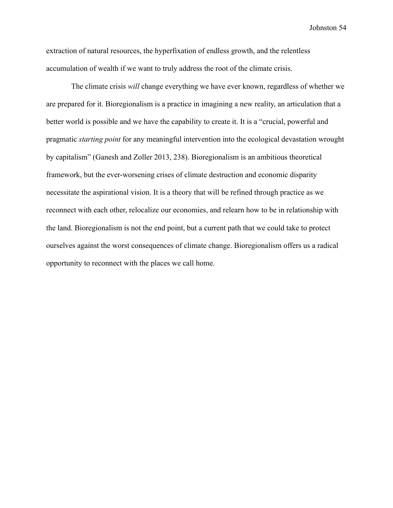extraction of natural resources, the hyperfixation of endless growth, and the relentless accumulation of wealth if we want to truly address the root of the climate crisis.

The climate crisis *will* change everything we have ever known, regardless of whether we are prepared for it. Bioregionalism is a practice in imagining a new reality, an articulation that a better world is possible and we have the capability to create it. It is a "crucial, powerful and pragmatic *starting point* for any meaningful intervention into the ecological devastation wrought by capitalism" (Ganesh and Zoller 2013, 238). Bioregionalism is an ambitious theoretical framework, but the ever-worsening crises of climate destruction and economic disparity necessitate the aspirational vision. It is a theory that will be refined through practice as we reconnect with each other, relocalize our economies, and relearn how to be in relationship with the land. Bioregionalism is not the end point, but a current path that we could take to protect ourselves against the worst consequences of climate change. Bioregionalism offers us a radical opportunity to reconnect with the places we call home.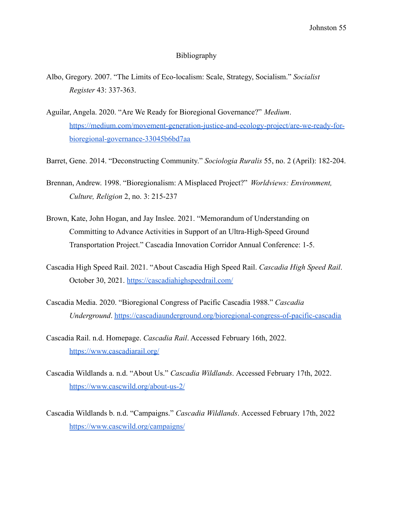#### Bibliography

- <span id="page-55-0"></span>Albo, Gregory. 2007. "The Limits of Eco-localism: Scale, Strategy, Socialism." *Socialist Register* 43: 337-363.
- Aguilar, Angela. 2020. "Are We Ready for Bioregional Governance?" *Medium*. [https://medium.com/movement-generation-justice-and-ecology-project/are-we-ready-for](https://medium.com/movement-generation-justice-and-ecology-project/are-we-ready-for-bioregional-governance-33045b6bd7aa)[bioregional-governance-33045b6bd7aa](https://medium.com/movement-generation-justice-and-ecology-project/are-we-ready-for-bioregional-governance-33045b6bd7aa)
- Barret, Gene. 2014. "Deconstructing Community." *Sociologia Ruralis* 55, no. 2 (April): 182-204.
- Brennan, Andrew. 1998. "Bioregionalism: A Misplaced Project?" *Worldviews: Environment, Culture, Religion* 2, no. 3: 215-237
- Brown, Kate, John Hogan, and Jay Inslee. 2021. "Memorandum of Understanding on Committing to Advance Activities in Support of an Ultra-High-Speed Ground Transportation Project." Cascadia Innovation Corridor Annual Conference: 1-5.
- Cascadia High Speed Rail. 2021. "About Cascadia High Speed Rail. *Cascadia High Speed Rail*. October 30, 2021. <https://cascadiahighspeedrail.com/>
- Cascadia Media. 2020. "Bioregional Congress of Pacific Cascadia 1988." *Cascadia Underground*. [https://cascadiaunderground.org/bioregional-congress-of-pacific-cascadia](https://cascadiaunderground.org/bioregional-congress-of-pacific-cascadia-1988/)
- Cascadia Rail. n.d. Homepage. *Cascadia Rail*. Accessed February 16th, 2022. <https://www.cascadiarail.org/>
- Cascadia Wildlands a. n.d. "About Us." *Cascadia Wildlands*. Accessed February 17th, 2022. <https://www.cascwild.org/about-us-2/>

Cascadia Wildlands b. n.d. "Campaigns." *Cascadia Wildlands*. Accessed February 17th, 2022 <https://www.cascwild.org/campaigns/>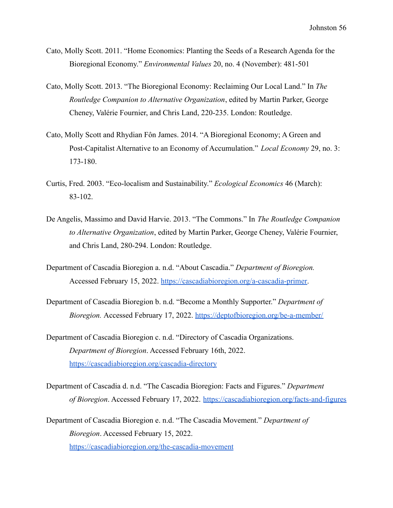- Cato, Molly Scott. 2011. "Home Economics: Planting the Seeds of a Research Agenda for the Bioregional Economy." *Environmental Values* 20, no. 4 (November): 481-501
- Cato, Molly Scott. 2013. "The Bioregional Economy: Reclaiming Our Local Land." In *The Routledge Companion to Alternative Organization*, edited by Martin Parker, George Cheney, Valérie Fournier, and Chris Land, 220-235. London: Routledge.
- Cato, Molly Scott and Rhydian Fôn James. 2014. "A Bioregional Economy; A Green and Post-Capitalist Alternative to an Economy of Accumulation." *Local Economy* 29, no. 3: 173-180.
- Curtis, Fred. 2003. "Eco-localism and Sustainability." *Ecological Economics* 46 (March): 83-102.
- De Angelis, Massimo and David Harvie. 2013. "The Commons." In *The Routledge Companion to Alternative Organization*, edited by Martin Parker, George Cheney, Valérie Fournier, and Chris Land, 280-294. London: Routledge.
- Department of Cascadia Bioregion a. n.d. "About Cascadia." *Department of Bioregion.* Accessed February 15, 2022. [https://cascadiabioregion.org/a-cascadia-primer.](https://cascadiabioregion.org/a-cascadia-primer)
- Department of Cascadia Bioregion b. n.d. "Become a Monthly Supporter." *Department of Bioregion.* Accessed February 17, 2022. <https://deptofbioregion.org/be-a-member/>
- Department of Cascadia Bioregion c. n.d. "Directory of Cascadia Organizations. *Department of Bioregion*. Accessed February 16th, 2022. <https://cascadiabioregion.org/cascadia-directory>
- Department of Cascadia d. n.d. "The Cascadia Bioregion: Facts and Figures." *Department of Bioregion*. Accessed February 17, 2022. <https://cascadiabioregion.org/facts-and-figures>

Department of Cascadia Bioregion e. n.d. "The Cascadia Movement." *Department of Bioregion*. Accessed February 15, 2022. <https://cascadiabioregion.org/the-cascadia-movement>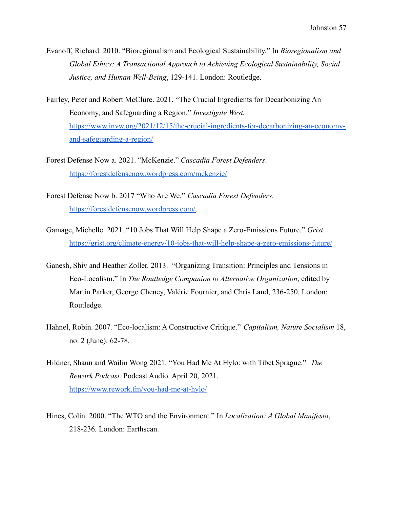- Evanoff, Richard. 2010. "Bioregionalism and Ecological Sustainability." In *Bioregionalism and Global Ethics: A Transactional Approach to Achieving Ecological Sustainability, Social Justice, and Human Well-Being*, 129-141. London: Routledge.
- Fairley, Peter and Robert McClure. 2021. "The Crucial Ingredients for Decarbonizing An Economy, and Safeguarding a Region." *Investigate West.* [https://www.invw.org/2021/12/15/the-crucial-ingredients-for-decarbonizing-an-economy](https://www.invw.org/2021/12/15/the-crucial-ingredients-for-decarbonizing-an-economy-and-safeguarding-a-region/)[and-safeguarding-a-region/](https://www.invw.org/2021/12/15/the-crucial-ingredients-for-decarbonizing-an-economy-and-safeguarding-a-region/)
- Forest Defense Now a. 2021. "McKenzie." *Cascadia Forest Defenders*. <https://forestdefensenow.wordpress.com/mckenzie/>
- Forest Defense Now b. 2017 "Who Are We." *Cascadia Forest Defenders*. [https://forestdefensenow.wordpress.com/.](https://forestdefensenow.wordpress.com/)
- Gamage, Michelle. 2021. "10 Jobs That Will Help Shape a Zero-Emissions Future." *Grist*. <https://grist.org/climate-energy/10-jobs-that-will-help-shape-a-zero-emissions-future/>
- Ganesh, Shiv and Heather Zoller. 2013. "Organizing Transition: Principles and Tensions in Eco-Localism." In *The Routledge Companion to Alternative Organization*, edited by Martin Parker, George Cheney, Valérie Fournier, and Chris Land, 236-250. London: Routledge.
- Hahnel, Robin. 2007. "Eco-localism: A Constructive Critique." *Capitalism, Nature Socialism* 18, no. 2 (June): 62-78.
- Hildner, Shaun and Wailin Wong 2021. "You Had Me At Hylo: with Tibet Sprague." *The Rework Podcast.* Podcast Audio. April 20, 2021. <https://www.rework.fm/you-had-me-at-hylo/>
- Hines, Colin. 2000. "The WTO and the Environment." In *Localization: A Global Manifesto*, 218-236*.* London: Earthscan.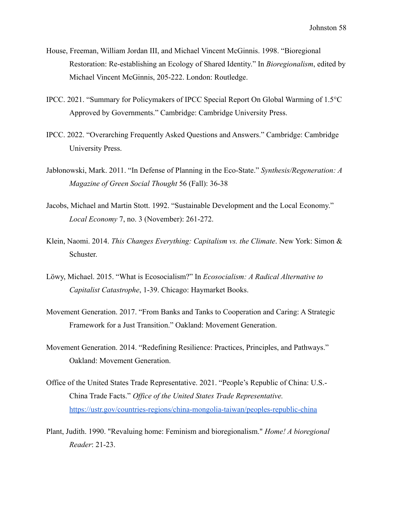- House, Freeman, William Jordan III, and Michael Vincent McGinnis. 1998. "Bioregional Restoration: Re-establishing an Ecology of Shared Identity." In *Bioregionalism*, edited by Michael Vincent McGinnis, 205-222. London: Routledge.
- IPCC. 2021. "Summary for Policymakers of IPCC Special Report On Global Warming of 1.5°C Approved by Governments." Cambridge: Cambridge University Press.
- IPCC. 2022. "Overarching Frequently Asked Questions and Answers." Cambridge: Cambridge University Press.
- Jabłonowski, Mark. 2011. "In Defense of Planning in the Eco-State." *Synthesis/Regeneration: A Magazine of Green Social Thought* 56 (Fall): 36-38
- Jacobs, Michael and Martin Stott. 1992. "Sustainable Development and the Local Economy." *Local Economy* 7, no. 3 (November): 261-272.
- Klein, Naomi. 2014. *This Changes Everything: Capitalism vs. the Climate*. New York: Simon & Schuster.
- Löwy, Michael. 2015. "What is Ecosocialism?" In *Ecosocialism: A Radical Alternative to Capitalist Catastrophe*, 1-39. Chicago: Haymarket Books.
- Movement Generation. 2017. "From Banks and Tanks to Cooperation and Caring: A Strategic Framework for a Just Transition." Oakland: Movement Generation.
- Movement Generation. 2014. "Redefining Resilience: Practices, Principles, and Pathways." Oakland: Movement Generation.
- Office of the United States Trade Representative. 2021. "People's Republic of China: U.S.- China Trade Facts." *Office of the United States Trade Representative.* <https://ustr.gov/countries-regions/china-mongolia-taiwan/peoples-republic-china>
- Plant, Judith. 1990. "Revaluing home: Feminism and bioregionalism." *Home! A bioregional Reader*: 21-23.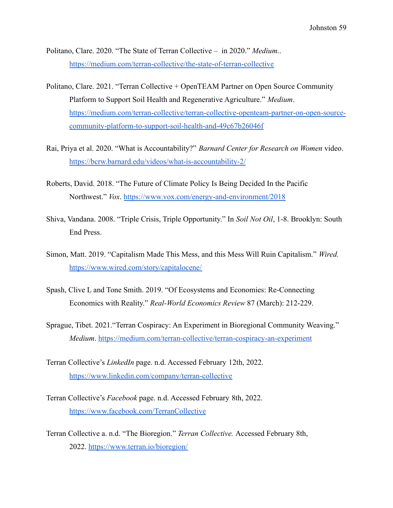Politano, Clare. 2020. "The State of Terran Collective – in 2020." *Medium*.. <https://medium.com/terran-collective/the-state-of-terran-collective>

- Politano, Clare. 2021. "Terran Collective + OpenTEAM Partner on Open Source Community Platform to Support Soil Health and Regenerative Agriculture." *Medium*. [https://medium.com/terran-collective/terran-collective-openteam-partner-on-open-source](https://medium.com/terran-collective/terran-collective-openteam-partner-on-open-source-community-platform-to-support-soil-health-and-49c67b26046f)[community-platform-to-support-soil-health-and-49c67b26046f](https://medium.com/terran-collective/terran-collective-openteam-partner-on-open-source-community-platform-to-support-soil-health-and-49c67b26046f)
- Rai, Priya et al. 2020. "What is Accountability?" *Barnard Center for Research on Women* video. <https://bcrw.barnard.edu/videos/what-is-accountability-2/>
- Roberts, David. 2018. "The Future of Climate Policy Is Being Decided In the Pacific Northwest." *Vox*. [https://www.vox.com/energy-and-environment/2018](https://www.vox.com/energy-and-environment/2018/3/1/17061206/climate-policy-pacific-northwest)
- Shiva, Vandana. 2008. "Triple Crisis, Triple Opportunity." In *Soil Not Oil*, 1-8. Brooklyn: South End Press.
- Simon, Matt. 2019. "Capitalism Made This Mess, and this Mess Will Ruin Capitalism." *Wired.* <https://www.wired.com/story/capitalocene/>
- Spash, Clive L and Tone Smith. 2019. "Of Ecosystems and Economies: Re-Connecting Economics with Reality." *Real-World Economics Review* 87 (March): 212-229.
- Sprague, Tibet. 2021."Terran Cospiracy: An Experiment in Bioregional Community Weaving." *Medium*. [https://medium.com/terran-collective/terran-cospiracy-an-experiment](https://medium.com/terran-collective/terran-cospiracy-an-experiment-in-bioregional-community-weaving-d16715cda14)
- Terran Collective's *LinkedIn* page. n.d. Accessed February 12th, 2022. <https://www.linkedin.com/company/terran-collective>
- Terran Collective's *Facebook* page. n.d. Accessed February 8th, 2022. [https://www.facebook.com/TerranCollective](https://www.facebook.com/TerranCollective/about)
- Terran Collective a. n.d. "The Bioregion." *Terran Collective.* Accessed February 8th, 2022. <https://www.terran.io/bioregion/>